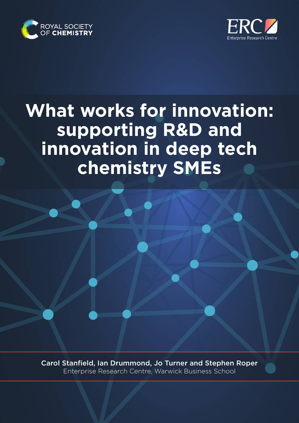



# **What works for innovation: supporting R&D and innovation in deep tech chemistry SMEs**

Carol Stanfield, Ian Drummond, Jo Turner and Stephen Roper Enterprise Research Centre, Warwick Business School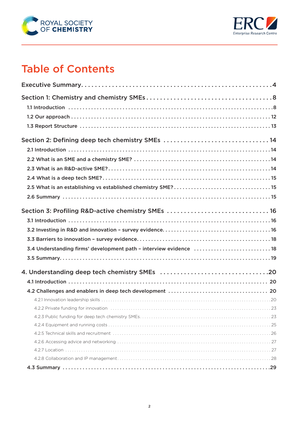



## Table of Contents

| Section 2: Defining deep tech chemistry SMEs 14                    |
|--------------------------------------------------------------------|
|                                                                    |
|                                                                    |
|                                                                    |
|                                                                    |
|                                                                    |
|                                                                    |
| Section 3: Profiling R&D-active chemistry SMEs  16                 |
|                                                                    |
|                                                                    |
|                                                                    |
| 3.4 Understanding firms' development path - interview evidence  18 |
|                                                                    |
|                                                                    |
|                                                                    |
|                                                                    |
|                                                                    |
|                                                                    |
|                                                                    |
|                                                                    |
|                                                                    |
|                                                                    |
|                                                                    |
|                                                                    |
|                                                                    |
|                                                                    |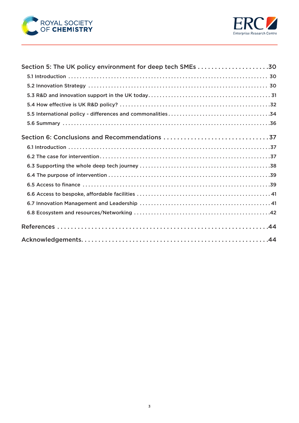

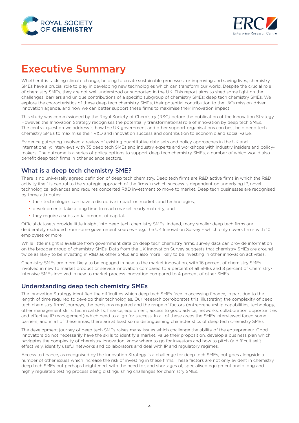<span id="page-3-0"></span>



## Executive Summary

Whether it is tackling climate change, helping to create sustainable processes, or improving and saving lives, chemistry SMEs have a crucial role to play in developing new technologies which can transform our world. Despite the crucial role of chemistry SMEs, they are not well understood or supported in the UK. This report aims to shed some light on the challenges, barriers and unique contributions of a specific subgroup of chemistry SMEs; deep tech chemistry SMEs. We explore the characteristics of these deep tech chemistry SMEs, their potential contribution to the UK's mission-driven innovation agenda, and how we can better support these firms to maximise their innovation impact.

This study was commissioned by the Royal Society of Chemistry (RSC) before the publication of the Innovation Strategy. However, the Innovation Strategy recognises the potentially transformational role of innovation by deep tech SMEs. The central question we address is how the UK government and other support organisations can best help deep tech chemistry SMEs to maximise their R&D and innovation success and contribution to economic and social value.

Evidence gathering involved a review of existing quantitative data sets and policy approaches in the UK and internationally; interviews with 35 deep tech SMEs and industry experts and workshops with industry insiders and policymakers. The outcome is a series of policy options to support deep tech chemistry SMEs, a number of which would also benefit deep tech firms in other science sectors.

## What is a deep tech chemistry SME?

There is no universally agreed definition of deep tech chemistry. Deep tech firms are R&D active firms in which the R&D activity itself is central to the strategic approach of the firms in which success is dependent on underlying IP, novel technological advances and requires concerted R&D investment to move to market. Deep tech businesses are recognised by three attributes:

- their technologies can have a disruptive impact on markets and technologies;
- developments take a long time to reach market-ready maturity; and
- they require a substantial amount of capital.

Official datasets provide little insight into deep tech chemistry SMEs. Indeed, many smaller deep tech firms are deliberately excluded from some government sources – e.g. the UK Innovation Survey – which only covers firms with 10 employees or more.

While little insight is available from government data on deep tech chemistry firms, survey data can provide information on the broader group of chemistry SMEs. Data from the UK Innovation Survey suggests that chemistry SMEs are around twice as likely to be investing in R&D as other SMEs and also more likely to be investing in other innovation activities.

Chemistry SMEs are more likely to be engaged in new to the market innovation, with 16 percent of chemistry SMEs involved in new to market product or service innovation compared to 9 percent of all SMEs and 8 percent of Chemistryintensive SMEs involved in new to market process innovation compared to 4 percent of other SMEs.

### Understanding deep tech chemistry SMEs

The Innovation Strategy identified the difficulties which deep tech SMEs face in accessing finance, in part due to the length of time required to develop their technologies. Our research corroborates this, illustrating the complexity of deep tech chemistry firms' journeys, the decisions required and the range of factors (entrepreneurship capabilities, technology, other management skills, technical skills, finance, equipment, access to good advice, networks, collaboration opportunities and effective IP management) which need to align for success. In all of these areas the SMEs interviewed faced some barriers, and in all of these areas, there are at least some distinguishing characteristics of deep tech chemistry SMEs.

The development journey of deep tech SMEs raises many issues which challenge the ability of the entrepreneur. Good innovators do not necessarily have the skills to identify a market, value their proposition, develop a business plan which navigates the complexity of chemistry innovation, know where to go for investors and how to pitch (a difficult sell) effectively, identify useful networks and collaborators and deal with IP and regulatory regimes.

Access to finance, as recognised by the Innovation Strategy is a challenge for deep tech SMEs, but goes alongside a number of other issues which increase the risk of investing in these firms. These factors are not only evident in chemistry deep tech SMEs but perhaps heightened, with the need for, and shortages of, specialised equipment and a long and highly regulated testing process being distinguishing challenges for chemistry SMEs.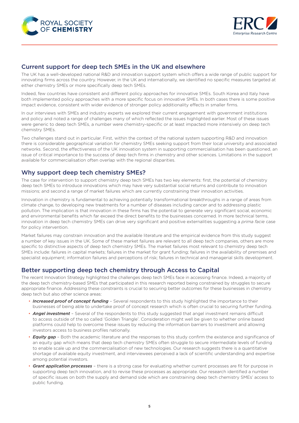



#### Current support for deep tech SMEs in the UK and elsewhere

The UK has a well-developed national R&D and innovation support system which offers a wide range of public support for innovating firms across the country. However, in the UK and internationally, we identified no specific measures targeted at either chemistry SMEs or more specifically deep tech SMEs.

Indeed, few countries have consistent and different policy approaches for innovative SMEs. South Korea and Italy have both implemented policy approaches with a more specific focus on innovative SMEs. In both cases there is some positive impact evidence, consistent with wider evidence of stronger policy additionality effects in smaller firms.

In our interviews with SMEs and industry experts we explored their current engagement with government institutions and policy and noted a range of challenges many of which reflected the issues highlighted earlier. Most of these issues were generic to deep tech SMEs, a number were chemistry-specific or at least impacted more intensively on deep tech chemistry SMEs.

Two challenges stand out in particular. First, within the context of the national system supporting R&D and innovation there is considerable geographical variation for chemistry SMEs seeking support from their local university and associated networks. Second, the effectiveness of the UK innovation system in supporting commercialisation has been questioned, an issue of critical importance to the success of deep tech firms in chemistry and other sciences. Limitations in the support available for commercialisation often overlap with the regional disparities.

### Why support deep tech chemistry SMEs?

The case for intervention to support chemistry deep tech SMEs has two key elements: first, the potential of chemistry deep tech SMEs to introduce innovations which may have very substantial social returns and contribute to innovation missions; and second a range of market failures which are currently constraining their innovation activities.

Innovation in chemistry is fundamental to achieving potentially transformational breakthroughs in a range of areas from climate change, to developing new treatments for a number of diseases including cancer and to addressing plastic pollution. The implication is that innovation in these firms has the potential to generate very significant social, economic and environmental benefits which far exceed the direct benefits to the businesses concerned. In more technical terms, innovation in deep tech chemistry SMEs can drive very significant and positive externalities suggesting a *prima facie* case for policy intervention.

Market failures may constrain innovation and the available literature and the empirical evidence from this study suggest a number of key issues in the UK. Some of these market failures are relevant to all deep tech companies, others are more specific to distinctive aspects of deep tech chemistry SMEs. The market failures most relevant to chemistry deep tech SMEs include: failures in capital markets; failures in the market for grant funding; failures in the availability of premises and specialist equipment; information failures and perceptions of risk; failures in technical and managerial skills development.

### Better supporting deep tech chemistry through Access to Capital

The recent Innovation Strategy highlighted the challenges deep tech SMEs face in accessing finance. Indeed, a majority of the deep tech chemistry-based SMEs that participated in this research reported being constrained by struggles to secure appropriate finance. Addressing these constraints is crucial to securing better outcomes for these businesses in chemistry deep tech but also other science areas:

- *Increased proof of concept funding* Several respondents to this study highlighted the importance to their businesses of being able to undertake proof of concept research which is often crucial to securing further funding.
- *Angel investment* Several of the respondents to this study suggested that angel investment remains difficult to access outside of the so called 'Golden Triangle'. Consideration might well be given to whether online based platforms could help to overcome these issues by reducing the information barriers to investment and allowing investors access to business profiles nationally.
- *Equity gap* Both the academic literature and the responses to this study confirm the existence and significance of an equity gap which means that deep tech chemistry SMEs often struggle to secure intermediate levels of funding to enable scale up and the commercialisation of new technologies. Our research suggests there is a quantitative shortage of available equity investment, and interviewees perceived a lack of scientific understanding and expertise among potential investors.
- *Grant application processes* there is a strong case for evaluating whether current processes are fit for purpose in supporting deep tech innovation, and to revise these processes as appropriate. Our research identified a number of specific issues on both the supply and demand side which are constraining deep tech chemistry SMEs' access to public funding.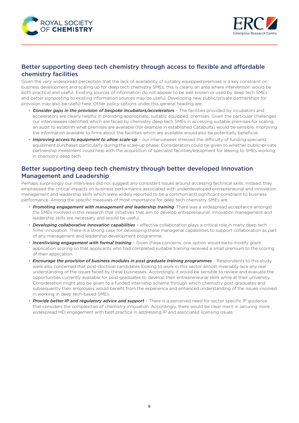



## Better supporting deep tech chemistry through access to flexible and affordable chemistry facilities

Given the very widespread perception that the lack of availability of suitably equipped premises is a key constraint on business development and scaling up for deep tech chemistry SMEs, this is clearly an area where intervention would be both practical and useful. Existing sources of information do not appear to be well known or used by deep tech SMEs and better signposting to existing information sources may be useful. Developing new public/private partnerships for provision may also be useful here. Other policy options under this general heading are:

- *Consider gaps in the provision of bespoke incubators/accelerators* The facilities provided by incubators and accelerators are clearly helpful in providing appropriate, suitably equipped, premises. Given the particular challenges our interviewees identified which are faced by chemistry deep tech SMEs in accessing suitable premises for scaling, an audit to establish what premises are available (for example in established Catapults) would be sensible. Improving the information available to firms about the facilities which are available would also be potentially beneficial.
- *Improving access to equipment to allow scale-up* our interviewees stressed the difficulty of funding specialist equipment purchases particularly during the scale-up phase. Consideration could be given to whether public-private partnership investment could help with the acquisition of specialist facilities/equipment for leasing to SMEs working in chemistry deep tech.

#### Better supporting deep tech chemistry through better developed Innovation Management and Leadership

Perhaps surprisingly our interviews did not suggest any consistent issues around accessing technical skills. Instead, they emphasised the critical impacts on business performance associated with underdeveloped entrepreneurial and innovation management and leadership skills which were widely reported to be a common and significant constraint to business performance. Among the specific measures of most importance for deep tech chemistry SMEs are:

- *Promoting engagement with management and leadership training*. There was a widespread acceptance amongst the SMEs involved in this research that initiatives that aim to develop entrepreneurial, innovation management and leadership skills are necessary and would be useful.
- *Developing collaborative innovation capabilities* effective collaboration plays a critical role in many deep tech firms' innovation. There is a strong case for developing these managerial capabilities to support collaboration as part of any management and leadership development programme.
- *Incentivising engagement with formal training* Given these concerns, one option would be to modify grant application scoring so that applicants who had completed suitable training received a small premium to the scoring of their application.
- *Encourage the provision of business modules in post graduate training programmes* Respondents to this study were also concerned that post-doctoral candidates looking to work in this sector almost invariably lack any real understanding of the issues faced by these businesses. Accordingly, it would be sensible to review and evaluate the opportunities currently available for post-graduates to develop their entrepreneurial skills while at their university. Consideration might also be given to a funded internship scheme through which chemistry post-graduates and subsequently their employers would benefit from the experience and enhanced understanding of the issues involved in working in deep tech-based SMEs.
- *Provide better IP and regulatory advice and support* There is a perceived need for sector specific IP guidance that considers the complexities of chemistry innovation. Accordingly, there would be clear merit in securing more widespread HEI engagement with best practice in addressing IP and associated licensing issues.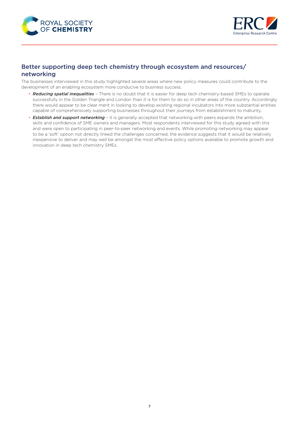



## Better supporting deep tech chemistry through ecosystem and resources/ networking

The businesses interviewed in this study highlighted several areas where new policy measures could contribute to the development of an enabling ecosystem more conducive to business success.

- *Reducing spatial inequalities* There is no doubt that it is easier for deep tech chemistry-based SMEs to operate successfully in the Golden Triangle and London than it is for them to do so in other areas of the country. Accordingly, there would appear to be clear merit in looking to develop existing regional incubators into more substantial entities capable of comprehensively supporting businesses throughout their journeys from establishment to maturity.
- *Establish and support networking* it is generally accepted that networking with peers expands the ambition, skills and confidence of SME owners and managers. Most respondents interviewed for this study agreed with this and were open to participating in peer-to-peer networking and events. While promoting networking may appear to be a 'soft' option not directly linked the challenges concerned, the evidence suggests that it would be relatively inexpensive to deliver and may well be amongst the most effective policy options available to promote growth and innovation in deep tech chemistry SMEs.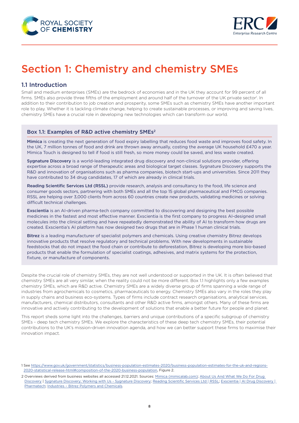<span id="page-7-0"></span>



## Section 1: Chemistry and chemistry SMEs

## 1.1 Introduction

Small and medium enterprises (SMEs) are the bedrock of economies and in the UK they account for 99 percent of all firms. SMEs also provide three fifths of the employment and around half of the turnover of the UK private sector<sup>1</sup>. In addition to their contribution to job creation and prosperity, some SMEs such as chemistry SMEs have another important role to play. Whether it is tackling climate change, helping to create sustainable processes, or improving and saving lives, chemistry SMEs have a crucial role in developing new technologies which can transform our world.

#### Box 1.1: Examples of R&D active chemistry SMEs<sup>2</sup>

Mimica is creating the next generation of food expiry labelling that reduces food waste and improves food safety. In the UK, 7 million tonnes of food and drink are thrown away annually, costing the average UK household £470 a year. Mimica Touch is designed to tell if food is still fresh, so more money could be saved, and less waste created.

Sygnature Discovery is a world-leading [integrated drug discovery](https://www.sygnaturediscovery.com/drug-discovery/integrated-drug-discovery/) and non-clinical solutions provider, offering expertise across a broad range of [therapeutic areas](https://www.sygnaturediscovery.com/therapeutic-areas/) and biological target classes. Sygnature Discovery supports the R&D and innovation of organisations such as pharma companies, biotech start-ups and universities. Since 2011 they have contributed to 34 drug candidates, 17 of which are already in clinical trials.

Reading Scientific Services Ltd (RSSL) provide research, analysis and consultancy to the food, life science and consumer goods sectors, partnering with both SMEs and all the top 15 global pharmaceutical and FMCG companies. RSSL are helping over 3,000 clients from across 60 countries create new products, validating medicines or solving difficult technical challenges.

Exscientia is an AI-driven pharma-tech company committed to discovering and designing the best possible medicines in the fastest and most effective manner. Exscientia is the first company to progress AI-designed small molecules into the clinical setting and have repeatedly demonstrated the ability of AI to transform how drugs are created. Exscientia's AI platform has now designed two drugs that are in Phase 1 human clinical trials.

Bitrez is a leading manufacturer of specialist polymers and chemicals. Using creative chemistry Bitrez develops innovative products that resolve regulatory and technical problems. With new developments in sustainable feedstocks that do not impact the food chain or contribute to deforestation, Bitrez is developing more bio-based products that enable the formulation of specialist coatings, adhesives, and matrix systems for the protection, fixture, or manufacture of components.

Despite the crucial role of chemistry SMEs, they are not well understood or supported in the UK. It is often believed that chemistry SMEs are all very similar, when the reality could not be more different. Box 1.1 highlights only a few examples chemistry SMEs, which are R&D active. Chemistry SMEs are a widely diverse group of firms spanning a wide range of industries from agrochemicals to cosmetics, pharmaceuticals to energy. Chemistry SMEs also vary in the roles they play in supply chains and business eco-systems. Types of firms include contract research organisations, analytical services, manufacturers, chemical distributors, consultants and other R&D active firms, amongst others. Many of these firms are innovative and actively contributing to the development of solutions that enable a better future for people and planet.

This report sheds some light into the challenges, barriers and unique contributions of a specific subgroup of chemistry SMEs - deep tech chemistry SMEs. We explore the characteristics of these deep tech chemistry SMEs, their potential contributions to the UK's mission-driven innovation agenda, and how we can better support these firms to maximise their innovation impact.

<sup>1</sup> See [https://www.gov.uk/government/statistics/business-population-estimates-2020/business-population-estimates-for-the-uk-and-regions-](https://www.gov.uk/government/statistics/business-population-estimates-2020/business-population-estimates-for-the-uk-and-regions-2020-statistical-release-html#composition-of-the-2020-business-population)[2020-statistical-release-html#composition-of-the-2020-business-population](https://www.gov.uk/government/statistics/business-population-estimates-2020/business-population-estimates-for-the-uk-and-regions-2020-statistical-release-html#composition-of-the-2020-business-population), Figure 2.

<sup>2</sup> Overviews derived from business websites all accessed 21.12.2021. Sources: Mimica ([mimicalab.com\)](https://www.mimicalab.com/); About Us And What We Do For Drug [Discovery](https://www.sygnaturediscovery.com/about/) | [Sygnature Discovery; Working with Us - Sygnature Discovery](https://www.sygnaturediscovery.com/about/); [Reading Scientific Services Ltd | RSSL](https://www.rssl.com/); [Exscientia | AI Drug Discovery |](https://www.exscientia.ai/) [Pharmatech;](https://www.exscientia.ai/) [Industries – Bitrez Polymers and Chemicals.](https://www.bitrez.com/industries/)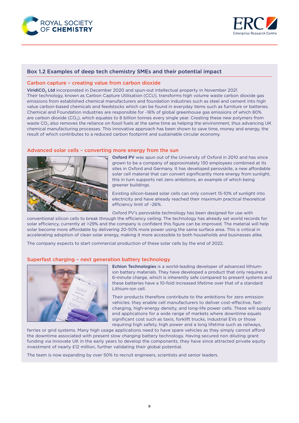



#### Box 1.2 Examples of deep tech chemistry SMEs and their potential impact

#### Carbon capture – creating value from carbon dioxide

ViridiCO<sub>2</sub> Ltd incorporated in December 2020 and spun-out intellectual property in November 2021 Their technology, known as Carbon Capture Utilisation (CCU), transforms high volume waste carbon dioxide gas emissions from established chemical manufacturers and foundation industries such as steel and cement into high value carbon-based chemicals and feedstocks which can be found in everyday items such as furniture or batteries. Chemical and Foundation industries are responsible for ~16% of global greenhouse gas emissions of which 80% are carbon dioxide ( $CO<sub>2</sub>$ ), which equates to 8 billion tonnes every single year. Creating these new polymers from waste CO<sub>2</sub> also removes the reliance on fossil fuels at the same time as helping the environment, thus advancing UK chemical manufacturing processes. This innovative approach has been shown to save time, money and energy, the result of which contributes to a reduced carbon footprint and sustainable circular economy.

#### Advanced solar cells – converting more energy from the sun



Oxford PV was spun out of the University of Oxford in 2010 and has since grown to be a company of approximately 130 employees combined at its sites in Oxford and Germany. It has developed perovskite, a new affordable solar cell material that can convert significantly more energy from sunlight, this in turn supports net zero ambitions, an example of which being greener buildings.

Existing silicon-based solar cells can only convert 15-10% of sunlight into electricity and have already reached their maximum practical theoretical efficiency limit of ~26%.

Oxford PV's perovskite technology has been designed for use with

conventional silicon cells to break through the efficiency ceiling. The technology has already set world records for solar efficiency, currently at >29% and the company is confident this figure can be improved. The material will help solar become more affordable by delivering 20-50% more power using the same surface area. This is critical in accelerating adoption of clean solar energy, making it more accessible to both households and businesses alike.

The company expects to start commercial production of these solar cells by the end of 2022.

#### Superfast charging – next generation battery technology



Echion Technologies is a world-leading developer of advanced lithiumion battery materials. They have developed a product that only requires a 6-minute charge, which is inherently safe compared to present systems and these batteries have a 10-fold increased lifetime over that of a standard Lithium-ion cell.

Their products therefore contribute to the ambitions for zero emission vehicles: they enable cell manufacturers to deliver cost-effective, fastcharging, high-energy density, and long-life power cells. These will supply end applications for a wide range of markets where downtime equals significant cost such as taxis, forklift trucks, industrial EVs or those requiring high safety, high power and a long lifetime such as railways,

ferries or grid systems. Many high usage applications need to have spare vehicles as they simply cannot afford the downtime associated with present slow charging battery technology. Having secured non diluting grant funding via Innovate UK in the early years to develop the components, they have since attracted private equity investment of nearly £12 million, further validating their global potential.

The team is now expanding by over 50% to recruit engineers, scientists and senior leaders.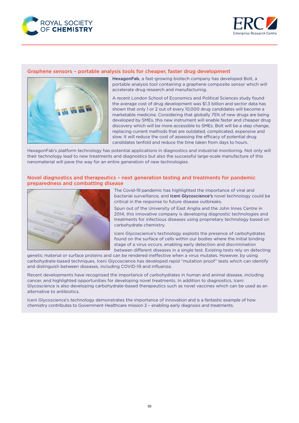



#### Graphene sensors – portable analysis tools for cheaper, faster drug development



HexagonFab, a fast-growing biotech company has developed Bolt, a portable analysis tool containing a graphene composite sensor which will accelerate drug research and manufacturing.

A recent London School of Economics and Political Sciences study found the average cost of drug development was \$1.3 billion and sector data has shown that only 1 or 2 out of every 10,000 drug candidates will become a marketable medicine. Considering that globally 75% of new drugs are being developed by SMEs, this new instrument will enable faster and cheaper drug discovery which will be more accessible to SMEs. Bolt will be a step change, replacing current methods that are outdated, complicated, expensive and slow. It will reduce the cost of assessing the efficacy of potential drug candidates tenfold and reduce the time taken from days to hours.

HexagonFab's platform technology has potential applications in diagnostics and industrial monitoring. Not only will their technology lead to new treatments and diagnostics but also the successful large-scale manufacture of this nanomaterial will pave the way for an entire generation of new technologies.

#### Novel diagnostics and therapeutics – next generation testing and treatments for pandemic preparedness and combatting disease



The Covid-19 pandemic has highlighted the importance of viral and bacterial surveillance, and Iceni Glycoscience's novel technology could be critical in the response to future disease outbreaks.

Spun out of the University of East Anglia and the John Innes Centre in 2014, this innovative company is developing diagnostic technologies and treatments for infectious diseases using proprietary technology based on carbohydrate chemistry.

Iceni Glycoscience's technology exploits the presence of carbohydrates found on the surface of cells within our bodies where the initial binding stage of a virus occurs, enabling early detection and discrimination between different diseases in a single test. Existing tests rely on detecting

genetic material or surface proteins and can be rendered ineffective when a virus mutates. However, by using carbohydrate-based techniques, Iceni Glycoscience has developed rapid "mutation proof" tests which can identify and distinguish between diseases, including COVID-19 and influenza.

Recent developments have recognised the importance of carbohydrates in human and animal disease, including cancer, and highlighted opportunities for developing novel treatments. In addition to diagnostics, Iceni Glycoscience is also developing carbohydrate-based therapeutics such as novel vaccines which can be used as an alternative to antibiotics.

Iceni Glycoscience's technology demonstrates the importance of innovation and is a fantastic example of how chemistry contributes to Government Healthcare mission 2 – enabling early diagnosis and treatments.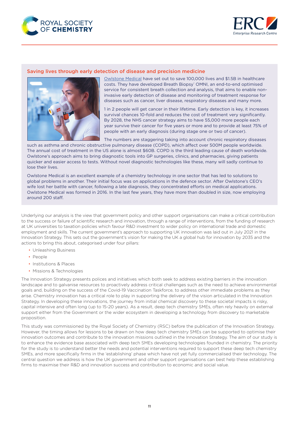



#### Saving lives through early detection of disease and precision medicine



[Owlstone Medical](https://www.owlstonemedical.com/) have set out to save 100,000 lives and \$1.5B in healthcare costs. They have developed Breath Biopsy® OMNI, an end-to-end optimised service for consistent breath collection and analysis, that aims to enable noninvasive early detection of disease and monitoring of treatment response for diseases such as cancer, liver disease, respiratory diseases and many more.

1 in 2 people will get cancer in their lifetime. Early detection is key, it increases survival chances 10-fold and reduces the cost of treatment very significantly. By 2028, the NHS cancer strategy aims to have 55,000 more people each year survive their cancer for five years or more and to provide at least 75% of people with an early diagnosis (during stage one or two of cancer).

The numbers are staggering taking into account chronic respiratory diseases such as asthma and chronic obstructive pulmonary disease (COPD), which affect over 500M people worldwide. The annual cost of treatment in the US alone is almost \$60B. COPD is the third leading cause of death worldwide. Owlstone's approach aims to bring diagnostic tools into GP surgeries, clinics, and pharmacies, giving patients quicker and easier access to tests. Without novel diagnostic technologies like these, many will sadly continue to lose their lives.

Owlstone Medical is an excellent example of a chemistry technology in one sector that has led to solutions to global problems in another. Their initial focus was on applications in the defence sector. After Owlstone's CEO's wife lost her battle with cancer, following a late diagnosis, they concentrated efforts on medical applications. Owlstone Medical was formed in 2016. In the last few years, they have more than doubled in size, now employing around 200 staff.

Underlying our analysis is the view that government policy and other support organisations can make a critical contribution to the success or failure of scientific research and innovation, through a range of interventions, from the funding of research at UK universities to taxation policies which favour R&D investment to wider policy on international trade and domestic employment and skills. The current government's approach to supporting UK innovation was laid out in July 2021 in the Innovation Strategy. This sets out the government's vision for making the UK a global hub for innovation by 2035 and the actions to bring this about, categorised under four pillars:

- Unleashing Business
- People
- Institutions & Places
- Missions & Technologies

The Innovation Strategy presents polices and initiatives which both seek to address existing barriers in the innovation landscape and to galvanise resources to proactively address critical challenges such as the need to achieve environmental goals and, building on the success of the Covid-19 Vaccination Taskforce, to address other immediate problems as they arise. Chemistry innovation has a critical role to play in supporting the delivery of the vision articulated in the Innovation Strategy. In developing these innovations, the journey from initial chemical discovery to these societal impacts is risky, capital intensive and often long (up to 15-20 years). As a result, deep tech chemistry SMEs, often rely heavily on external support either from the Government or the wider ecosystem in developing a technology from discovery to marketable proposition.

This study was commissioned by the Royal Society of Chemistry (RSC) before the publication of the Innovation Strategy. However, the timing allows for lessons to be drawn on how deep tech chemistry SMEs can be supported to optimise their innovation outcomes and contribute to the innovation missions outlined in the Innovation Strategy. The aim of our study is to enhance the evidence base associated with deep tech SMEs developing technologies founded in chemistry. The priority for the study is to understand better the needs and potential interventions required to support these deep tech chemistry SMEs, and more specifically firms in the 'establishing' phase which have not yet fully commercialised their technology. The central question we address is how the UK government and other support organisations can best help these establishing firms to maximise their R&D and innovation success and contribution to economic and social value.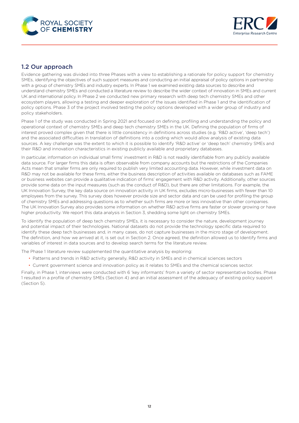<span id="page-11-0"></span>



## 1.2 Our approach

Evidence gathering was divided into three Phases with a view to establishing a rationale for policy support for chemistry SMEs, identifying the objectives of such support measures and conducting an initial appraisal of policy options in partnership with a group of chemistry SMEs and industry experts. In Phase 1 we examined existing data sources to describe and understand chemistry SMEs and conducted a literature review to describe the wider context of innovation in SMEs and current UK and international policy. In Phase 2 we conducted new primary research with deep tech chemistry SMEs and other ecosystem players, allowing a testing and deeper exploration of the issues identified in Phase 1 and the identification of policy options. Phase 3 of the project involved testing the policy options developed with a wider group of industry and policy stakeholders.

Phase 1 of the study was conducted in Spring 2021 and focused on defining, profiling and understanding the policy and operational context of chemistry SMEs and deep tech chemistry SMEs in the UK. Defining the population of firms of interest proved complex given that there is little consistency in definitions across studies (e.g. 'R&D active', 'deep tech') and the associated difficulties in translation of definitions into a coding which would allow analysis of existing data sources. A key challenge was the extent to which it is possible to identify 'R&D active' or 'deep tech' chemistry SMEs and their R&D and innovation characteristics in existing publicly available and proprietary databases.

In particular, information on individual small firms' investment in R&D is not readily identifiable from any publicly available data source. For larger firms this data is often observable from company accounts but the restrictions of the Companies Acts mean that smaller firms are only required to publish very limited accounting data. However, while investment data on R&D may not be available for these firms, either the business description of activities available on databases such as FAME or business websites can provide a qualitative indication of firms' engagement with R&D activity. Additionally, other sources provide some data on the input measures (such as the conduct of R&D), but there are other limitations. For example, the UK Innovation Survey, the key data source on innovation activity in UK firms, excludes micro-businesses with fewer than 10 employees from the survey. This survey does however provide size and sector data and can be used for profiling the group of chemistry SMEs and addressing questions as to whether such firms are more or less innovative than other companies. The UK Innovation Survey also provides some information on whether R&D active firms are faster or slower growing or have higher productivity. We report this data analysis in Section 3, shedding some light on chemistry SMEs.

To identify the population of deep tech chemistry SMEs, it is necessary to consider the nature, development journey and potential impact of their technologies. National datasets do not provide the technology specific data required to identify these deep tech businesses and, in many cases, do not capture businesses in the micro stage of development. The definition, and how we arrived at it, is set out in Section 2. Once agreed, the definition allowed us to Identify firms and variables of interest in data sources and to develop search terms for the literature review.

The Phase 1 literature review supplemented the quantitative analysis by exploring:

- Patterns and trends in R&D activity generally, R&D activity in SMEs and in chemical sciences sectors
- Current government science and innovation policy as it relates to SMEs and the chemical sciences sector.

Finally, in Phase 1, interviews were conducted with 6 'key informants' from a variety of sector representative bodies. Phase 1 resulted in a profile of chemistry SMEs (Section 4) and an initial assessment of the adequacy of existing policy support (Section 5).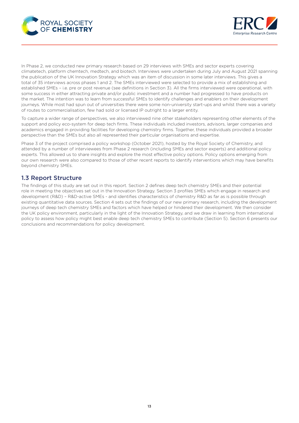<span id="page-12-0"></span>



In Phase 2, we conducted new primary research based on 29 interviews with SMEs and sector experts covering climatetech, platform chemtech, medtech, and biotech. Interviews were undertaken during July and August 2021 spanning the publication of the UK Innovation Strategy which was an item of discussion in some later interviews. This gives a total of 35 interviews across phases 1 and 2. The SMEs interviewed were selected to provide a mix of establishing and established SMEs – i.e. pre or post revenue (see definitions in Section 3). All the firms interviewed were operational, with some success in either attracting private and/or public investment and a number had progressed to have products on the market. The intention was to learn from successful SMEs to identify challenges and enablers on their development journeys. While most had spun out of universities there were some non-university start-ups and whilst there was a variety of routes to commercialisation, few had sold or licensed IP outright to a larger entity.

To capture a wider range of perspectives, we also interviewed nine other stakeholders representing other elements of the support and policy eco-system for deep tech firms. These individuals included investors, advisors, larger companies and academics engaged in providing facilities for developing chemistry firms. Together, these individuals provided a broader perspective than the SMEs but also all represented their particular organisations and expertise.

Phase 3 of the project comprised a policy workshop (October 2021), hosted by the Royal Society of Chemistry, and attended by a number of interviewees from Phase 2 research (including SMEs and sector experts) and additional policy experts. This allowed us to share insights and explore the most effective policy options. Policy options emerging from our own research were also compared to those of other recent reports to identify interventions which may have benefits beyond chemistry SMEs.

## 1.3 Report Structure

The findings of this study are set out in this report. Section 2 defines deep tech chemistry SMEs and their potential role in meeting the objectives set out in the Innovation Strategy. Section 3 profiles SMEs which engage in research and development (R&D) – R&D-active SMEs - and identifies characteristics of chemistry R&D as far as is possible through existing quantitative data sources. Section 4 sets out the findings of our new primary research, including the development journeys of deep tech chemistry SMEs and factors which have helped or hindered their development. We then consider the UK policy environment, particularly in the light of the Innovation Strategy, and we draw in learning from international policy to assess how policy might best enable deep tech chemistry SMEs to contribute (Section 5). Section 6 presents our conclusions and recommendations for policy development.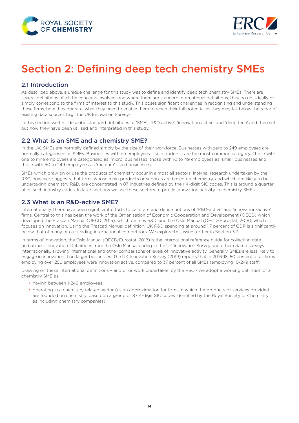<span id="page-13-0"></span>



## Section 2: Defining deep tech chemistry SMEs

## 2.1 Introduction

As described above, a unique challenge for this study was to define and identify deep tech chemistry SMEs. There are several definitions of all the concepts involved, and where there are standard international definitions, they do not ideally or simply correspond to the firms of interest to this study. This poses significant challenges in recognising and understanding these firms, how they operate, what they need to enable them to reach their full potential as they may fall below the radar of existing data sources (e.g., the UK Innovation Survey).

In this section we first describe standard definitions of 'SME', 'R&D active', 'innovation active' and 'deep tech' and then set out how they have been utilised and interpreted in this study.

#### 2.2 What is an SME and a chemistry SME?

In the UK, SMEs are normally defined simply by the size of their workforce. Businesses with zero to 249 employees are normally categorised as SMEs. Businesses with no employees – sole traders – are the most common category. Those with one to nine employees are categorised as 'micro' businesses, those with 10 to 49 employees as 'small' businesses and those with 50 to 249 employees as 'medium' sized businesses.

SMEs which draw on or use the products of chemistry occur in almost all sectors. Internal research undertaken by the RSC, however, suggests that firms whose main products or services are based on chemistry, and which are likely to be undertaking chemistry R&D, are concentrated in 87 industries defined by their 4-digit SIC codes. This is around a quarter of all such industry codes. In later sections we use these sectors to profile innovation activity in chemistry SMEs.

## 2.3 What is an R&D-active SME?

Internationally, there have been significant efforts to calibrate and define notions of 'R&D-active' and 'innovation-active' firms. Central to this has been the work of the Organisation of Economic Cooperation and Development (OECD) which developed the Frascati Manual (OECD, 2015), which defines R&D, and the Oslo Manual (OECD/Eurostat, 2018), which focuses on innovation. Using the Frascati Manual definition, UK R&D spending at around 1.7 percent of GDP is significantly below that of many of our leading international competitors. We explore this issue further in Section 3.3.

In terms of innovation, the Oslo Manual (OECD/Eurostat, 2018) is the international reference guide for collecting data on business innovation. Definitions from the Oslo Manual underpin the UK Innovation Survey and other related surveys internationally, allowing international and other comparisons of levels of innovative activity. Generally, SMEs are less likely to engage in innovation than larger businesses. The UK Innovation Survey (2019) reports that in 2016-18, 50 percent of all firms employing over 250 employees were innovation active, compared to 37 percent of all SMEs (employing 10-249 staff).

Drawing on these international definitions – and prior work undertaken by the RSC - we adopt a working definition of a chemistry SME as:

- having between 1-249 employees
- operating in a chemistry related sector (as an approximation for firms in which the products or services provided are founded on chemistry, based on a group of 87 4-digit SIC codes identified by the Royal Society of Chemistry as including chemistry companies)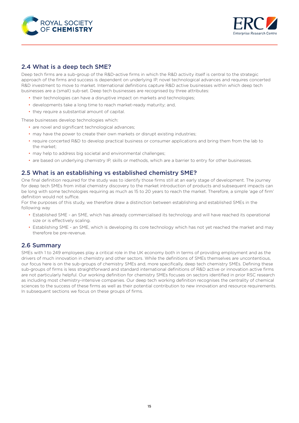<span id="page-14-0"></span>



## 2.4 What is a deep tech SME?

Deep tech firms are a sub-group of the R&D-active firms in which the R&D activity itself is central to the strategic approach of the firms and success is dependent on underlying IP, novel technological advances and requires concerted R&D investment to move to market. International definitions capture R&D active businesses within which deep tech businesses are a (small) sub-set. Deep tech businesses are recognised by three attributes:

- their technologies can have a disruptive impact on markets and technologies;
- developments take a long time to reach market-ready maturity; and,
- they require a substantial amount of capital.

These businesses develop technologies which:

- are novel and significant technological advances;
- may have the power to create their own markets or disrupt existing industries;
- require concerted R&D to develop practical business or consumer applications and bring them from the lab to the market;
- may help to address big societal and environmental challenges;
- are based on underlying chemistry IP, skills or methods, which are a barrier to entry for other businesses.

### 2.5 What is an establishing vs established chemistry SME?

One final definition required for the study was to identify those firms still at an early stage of development. The journey for deep tech SMEs from initial chemistry discovery to the market introduction of products and subsequent impacts can be long with some technologies requiring as much as 15 to 20 years to reach the market. Therefore, a simple 'age of firm' definition would not suffice.

For the purposes of this study, we therefore draw a distinction between establishing and established SMEs in the following way

- Established SME an SME, which has already commercialised its technology and will have reached its operational size or is effectively scaling.
- Establishing SME an SME, which is developing its core technology which has not yet reached the market and may therefore be pre-revenue.

#### 2.6 Summary

SMEs with 1 to 249 employees play a critical role in the UK economy both in terms of providing employment and as the drivers of much innovation in chemistry and other sectors. While the definitions of SMEs themselves are uncontentious, our focus here is on the sub-groups of chemistry SMEs and, more specifically, deep tech chemistry SMEs. Defining these sub-groups of firms is less straightforward and standard international definitions of R&D active or innovation active firms are not particularly helpful. Our working definition for chemistry SMEs focuses on sectors identified in prior RSC research as including most chemistry-intensive companies. Our deep tech working definition recognises the centrality of chemical sciences to the success of these firms as well as their potential contribution to new innovation and resource requirements. In subsequent sections we focus on these groups of firms.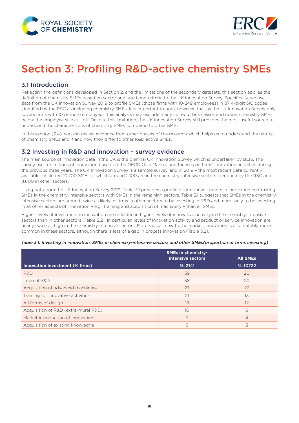<span id="page-15-0"></span>



## Section 3: Profiling R&D-active chemistry SMEs

## 3.1 Introduction

Reflecting the definitions developed in Section 2, and the limitations of the secondary datasets, this section applies the definition of chemistry SMEs based on sector and size band criteria to the UK Innovation Survey. Specifically, we use data from the UK Innovation Survey 2019 to profile SMEs (those firms with 10-249 employees) in 87 4-digit SIC codes identified by the RSC as including chemistry SMEs. It is important to note, however, that as the UK Innovation Survey only covers firms with 10 or more employees, this analysis may exclude many spin-out businesses and newer chemistry SMEs below the employee size cut-off. Despite this limitation, the UK Innovation Survey still provides the most useful source to understand the characteristics of chemistry SMEs compared to other SMEs.

In this section (3.4), we also review evidence from other phases of the research which helps us to understand the nature of chemistry SMEs and if and how they differ to other R&D active SMEs.

#### 3.2 Investing in R&D and innovation – survey evidence

The main source of innovation data in the UK is the biennial UK Innovation Survey which is undertaken by BEIS. The survey uses definitions of innovation based on the OECD Oslo Manual and focuses on firms' innovation activities during the previous three years. The UK Innovation Survey is a sample survey, and in 2019 – the most recent data currently available - included 10,700 SMEs of which around 2,100 are in the chemistry-intensive sectors identified by the RSC and 8,600 in other sectors.

Using data from the UK Innovation Survey 2019, Table 3.1 provides a profile of firms' investments in innovation contrasting SMEs in the chemistry-intensive sectors with SMEs in the remaining sectors. Table 3.1 suggests that SMEs in the chemistryintensive sectors are around twice as likely as firms in other sectors to be investing in R&D and more likely to be investing in all other aspects of innovation - e.g., training and acquisition of machinery - than all SMEs.

Higher levels of investment in innovation are reflected in higher levels of innovative activity in the chemistry-intensive sectors than in other sectors (Table 3.2). In particular, levels of innovation activity and product or service innovation are nearly twice as high in the chemistry-intensive sectors. More radical, new to the market, innovation is also notably more common in these sectors, although there is less of a gap in process innovation (Table 3.2).

|                                      | <b>All SMEs</b>                 |                |
|--------------------------------------|---------------------------------|----------------|
| Innovation investment (% firms)      | intensive sectors<br>$N = 2141$ | N=10722        |
| R&D                                  | 39                              | 20             |
| Internal R&D                         | 38                              | 20             |
| Acquisition of advanced machinery    | 27                              | 22             |
| Training for innovative activities   | 21                              | 13             |
| All forms of design                  | 18                              | 12             |
| Acquisition of R&D (extra-mural R&D) | 10                              | 6              |
| Market introduction of innovations   |                                 | $\overline{4}$ |
| Acquisition of existing knowledge    | 6                               | 3              |

#### *Table 3.1: Investing in innovation: SMEs in chemistry-intensive sectors and other SMEs(proportion of firms investing)*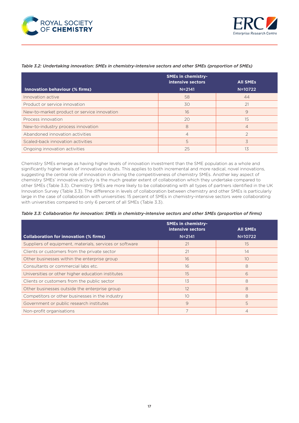



#### *Table 3.2: Undertaking innovation: SMEs in chemistry-intensive sectors and other SMEs (proportion of SMEs)*

|                                             | <b>SMEs in chemistry-</b><br>intensive sectors | <b>All SMEs</b> |
|---------------------------------------------|------------------------------------------------|-----------------|
| Innovation behaviour (% firms)              | $N = 2141$                                     | N=10722         |
| Innovation active                           | 58                                             | 44              |
| Product or service innovation               | 30                                             | 21              |
| New-to-market product or service innovation | 16                                             | 9               |
| Process innovation                          | 20                                             | 15              |
| New-to-industry process innovation          | 8                                              | $\overline{4}$  |
| Abandoned innovation activities             | $\overline{4}$                                 |                 |
| Scaled-back innovation activities           | 5                                              | 3               |
| Ongoing innovation activities               | 25                                             | 13              |

Chemistry SMEs emerge as having higher levels of innovation investment than the SME population as a whole and significantly higher levels of innovative outputs. This applies to both incremental and more radical, novel innovations, suggesting the central role of innovation in driving the competitiveness of chemistry SMEs. Another key aspect of chemistry SMEs' innovative activity is the much greater extent of collaboration which they undertake compared to other SMEs (Table 3.3). Chemistry SMEs are more likely to be collaborating with all types of partners identified in the UK Innovation Survey (Table 3.3). The difference in levels of collaboration between chemistry and other SMEs is particularly large in the case of collaboration with universities: 15 percent of SMEs in chemistry-intensive sectors were collaborating with universities compared to only 6 percent of all SMEs (Table 3.3).

| Table 3.3: Collaboration for innovation: SMEs in chemistry-intensive sectors and other SMEs (proportion of firms) |  |  |
|-------------------------------------------------------------------------------------------------------------------|--|--|
|-------------------------------------------------------------------------------------------------------------------|--|--|

|                                                         | <b>SMEs in chemistry-</b><br>intensive sectors | <b>All SMEs</b> |
|---------------------------------------------------------|------------------------------------------------|-----------------|
| <b>Collaboration for innovation (% firms)</b>           | $N = 2141$                                     | N=10722         |
| Suppliers of equipment, materials, services or software | 21                                             | 15              |
| Clients or customers from the private sector            | 21                                             | 14              |
| Other businesses within the enterprise group            | 16                                             | 1 <sub>O</sub>  |
| Consultants or commercial labs etc.                     | 16                                             | 8               |
| Universities or other higher education institutes       | 15                                             | 6               |
| Clients or customers from the public sector             | 13                                             | 8               |
| Other businesses outside the enterprise group           | 12                                             | 8               |
| Competitors or other businesses in the industry         | 10                                             | 8               |
| Government or public research institutes                | 9                                              | 5               |
| Non-profit organisations                                |                                                |                 |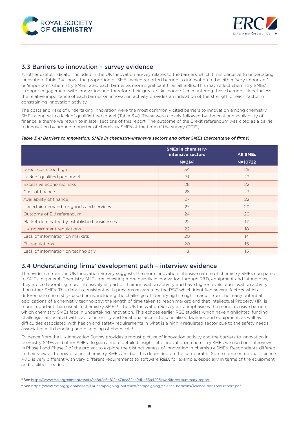<span id="page-17-0"></span>



#### 3.3 Barriers to innovation – survey evidence

Another useful indicator included in the UK Innovation Survey relates to the barriers which firms perceive to undertaking innovation. Table 3.4 shows the proportion of SMEs which reported barriers to innovation to be either 'very important' or 'important'. Chemistry SMEs rated each barrier as more significant than all SMEs. This may reflect chemistry SMEs' stronger engagement with innovation and therefore their greater likelihood of encountering these barriers. Nonetheless the relative importance of each barrier on innovation activity provides an indication of the strength of each factor in constraining innovation activity.

The costs and risks of undertaking innovation were the most commonly cited barriers to innovation among chemistry SMEs along with a lack of qualified personnel (Table 3.4). These were closely followed by the cost and availability of finance, a theme we return to in later sections of this report. The outcome of the Brexit referendum was cited as a barrier to innovation by around a quarter of chemistry SMEs at the time of the survey (2019).

#### *Table 3.4: Barriers to innovation: SMEs in chemistry-intensive sectors and other SMEs (percentage of firms)*

|                                            | <b>SMEs in chemistry-</b><br>intensive sectors | <b>All SMEs</b> |
|--------------------------------------------|------------------------------------------------|-----------------|
|                                            | $N = 2141$                                     | N=10722         |
| Direct costs too high                      | 34                                             | 25              |
| Lack of qualified personnel                | 31                                             | 23              |
| Excessive economic risks                   | 28                                             | 22              |
| Cost of finance                            | 28                                             | 23              |
| Availability of finance                    | 27                                             | 22              |
| Uncertain demand for goods and services    | 27                                             | 20              |
| Outcome of EU referendum                   | 24                                             | 20              |
| Market dominated by established businesses | 22                                             | 17              |
| UK government regulations                  | 22                                             | 18              |
| Lack of information on markets             | 20                                             | 14              |
| EU regulations                             | 20                                             | 15              |
| Lack of information on technology          | 18                                             | 15              |

#### 3.4 Understanding firms' development path – interview evidence

The evidence from the UK Innovation Survey suggests the more innovation intensive nature of chemistry SMEs compared to SMEs in general. Chemistry SMEs are investing more heavily in innovation through R&D, equipment and intangibles, they are collaborating more intensively as part of their innovation activity and have higher levels of innovation activity than other SMEs. This data is consistent with previous research by the RSC which identified several factors which differentiate chemistry-based firms, including the challenge of identifying the right market from the many potential applications of a chemistry technology; the length of time taken to reach market; and that Intellectual Property (IP) is more important than usual in chemistry SMEs<sup>3</sup>. The UK Innovation Survey also emphasises the more intensive barriers which chemistry SMEs face in undertaking innovation. This echoes earlier RSC studies which have highlighted funding challenges associated with capital intensity and locational access to specialised facilities and equipment, as well as difficulties associated with health and safety requirements in what is a highly regulated sector due to the safety needs associated with handling and disposing of chemicals4.

Evidence from the UK Innovation Survey provides a robust picture of innovation activity and the barriers to innovation in chemistry SMEs and other SMEs. To gain a more detailed insight into innovation in chemistry SMEs we used our interviews in Phase 1 and Phase 2 of the project to explore the distinctiveness of innovation in chemistry SMEs. Respondents differed in their view as to how distinct chemistry SMEs are, but this depended on the comparator. Some commented that science R&D is very different with very different requirements to software R&D, for example, especially in terms of the equipment and facilities needed.

<sup>3</sup> See [https://www.rsc.org/contentassets/ac8d2c6af02c47bca32ce94be35a4293/workforce-summary-report.](https://www.rsc.org/contentassets/ac8d2c6af02c47bca32ce94be35a4293/workforce-summary-report)

<sup>4</sup> See<https://www.rsc.org/globalassets/04-campaigning-outreach/campaigning/science-horizons/science-horizons-report.pdf>.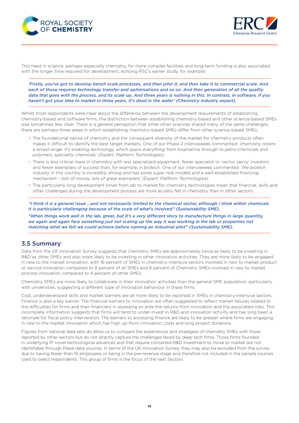<span id="page-18-0"></span>



This need in science, perhaps especially chemistry, for more complex facilities and long-term funding is also associated with the longer time required for development, echoing RSC's earlier study, for example:

*'Firstly, you've got to develop bench scale processes, and then pilot it, and then take it to commercial scale. And each of those requires technology transfer and optimisations and so on. And then generation of all the quality data that goes with the process, and its scale up. And three years is nothing in this. In contrast, in software, if you haven't got your idea to market in three years, it's dead in the water' (Chemistry industry expert).*

Whilst most respondents were clear about the difference between the development requirements of establishing chemistry-based and software firms, the distinction between establishing chemistry-based and other science-based SMEs was sometimes less clear. There is a general perception that while other sciences shared many of the same challenges, there are perhaps three areas in which establishing chemistry-based SMEs differ from other science-based SMEs:

- The foundational nature of chemistry and the consequent diversity of the market for chemistry products often makes it difficult to identify the best target markets. One of our Phase 2 interviewees commented: *'chemistry covers a broad range. It's enabling technology, which spans everything from biopharma through to petro-chemicals and polymers, speciality chemicals' (Expert, Platform Technologies)*.
- There is less critical mass in chemistry with less specialised equipment, fewer specialist or 'sector savvy' investors and fewer exemplars of success than, for example, in biotech. One of our interviewees commented: '*the biotech industry in this country is incredibly strong and has some super role models and a well-established financing mechanism – lots of money, lots of great exemplars' (Expert, Platform Technologies)*.
- The particularly long development times from lab to market for chemistry technologies mean that financial, skills and other challenges during the development process are more acutely felt in chemistry than in other sectors.

*"I think it is a general issue …and not necessarily limited to the chemical sector, although I think within chemicals it is particularly challenging because of the scale of what's involved" (Sustainability SME).*

*"When things work well in the lab, great, but it's a very different story to manufacture things in large quantity, we again and again face something just not scaling up the way it was working in the lab or properties not matching what we felt we could achieve before running an industrial pilot" (Sustainability SME).* 

### 3.5 Summary

Data from the UK Innovation Survey suggests that chemistry SMEs are approximately twice as likely to be investing in R&D as other SMEs and also more likely to be investing in other innovation activities. They are more likely to be engaged in new to the market innovation, with 16 percent of SMEs in chemistry-intensive sectors involved in new to market product or service innovation compared to 9 percent of all SMEs and 8 percent of Chemistry SMEs involved in new to market process innovation compared to 4 percent of other SMEs.

Chemistry SMEs are more likely to collaborate in their innovation activities than the general SME population, particularly with universities, suggesting a different type of innovation behaviour in these firms.

Cost, underdeveloped skills and market barriers are all more likely to be reported in SMEs in chemistry-intensive sectors. Finance is also a key barrier. The financial barriers to innovation are often suggested to reflect market failures related to the difficulties for firms and their financiers in assessing *ex ante* the returns from innovation and the associated risks. This incomplete information suggests that firms will tend to under-invest in R&D and innovation activity and has long been a rationale for fiscal policy intervention. The barriers to accessing finance are likely to be greater where firms are engaging in new to the market innovation which has high up-front innovation costs and long project durations.

Figures from national data sets do allow us to compare the experiences and strategies of chemistry SMEs with those reported by other sectors but do not directly capture the challenges faced by deep tech firms. Those firms founded in underlying IP, novel technological advances and that require concerted R&D investment to move to market are not identifiable through these data sources. In terms of the UK Innovation Survey, they may also be excluded from the survey due to having fewer than 10 employees or being in the pre-revenue stage and therefore not included in the sample sources used to select respondents. This group of firms is the focus of the next Section.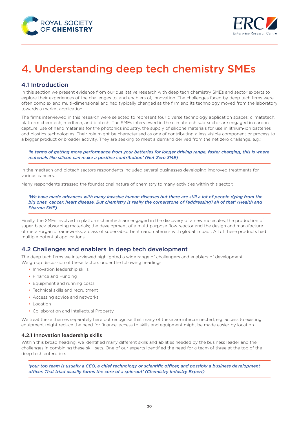<span id="page-19-0"></span>



## 4. Understanding deep tech chemistry SMEs

## 4.1 Introduction

In this section we present evidence from our qualitative research with deep tech chemistry SMEs and sector experts to explore their experiences of the challenges to, and enablers of, innovation. The challenges faced by deep tech firms were often complex and multi-dimensional and had typically changed as the firm and its technology moved from the laboratory towards a market application.

The firms interviewed in this research were selected to represent four diverse technology application spaces: climatetech, platform chemtech, medtech, and biotech. The SMEs interviewed in the climatetech sub-sector are engaged in carbon capture, use of nano materials for the photonics industry, the supply of silicone materials for use in lithium-ion batteries and plastics technologies. Their role might be characterised as one of contributing a less visible component or process to a bigger product or broader activity. They are seeking to meet a demand derived from the net zero challenge, e.g.:

*'in terms of getting more performance from your batteries for longer driving range, faster charging, this is where materials like silicon can make a positive contribution' (Net Zero SME)*

In the medtech and biotech sectors respondents included several businesses developing improved treatments for various cancers.

Many respondents stressed the foundational nature of chemistry to many activities within this sector:

*'We have made advances with many invasive human diseases but there are still a lot of people dying from the big ones, cancer, heart disease. But chemistry is really the cornerstone of [addressing] all of that' (Health and Pharma SME)*

Finally, the SMEs involved in platform chemtech are engaged in the discovery of a new molecules; the production of super-black-absorbing materials; the development of a multi-purpose flow reactor and the design and manufacture of metal-organic frameworks, a class of super-absorbent nanomaterials with global impact. All of these products had multiple potential applications.

### 4.2 Challenges and enablers in deep tech development

The deep tech firms we interviewed highlighted a wide range of challengers and enablers of development. We group discussion of these factors under the following headings:

- Innovation leadership skills
- Finance and Funding
- Equipment and running costs
- Technical skills and recruitment
- Accessing advice and networks
- Location
- Collaboration and Intellectual Property

We treat these themes separately here but recognise that many of these are interconnected, e.g. access to existing equipment might reduce the need for finance, access to skills and equipment might be made easier by location.

#### 4.2.1 Innovation leadership skills

Within this broad heading, we identified many different skills and abilities needed by the business leader and the challenges in combining these skill sets. One of our experts identified the need for a team of three at the top of the deep tech enterprise:

*'your top team is usually a CEO, a chief technology or scientific officer, and possibly a business development officer. That triad usually forms the core of a spin-out' (Chemistry Industry Expert)*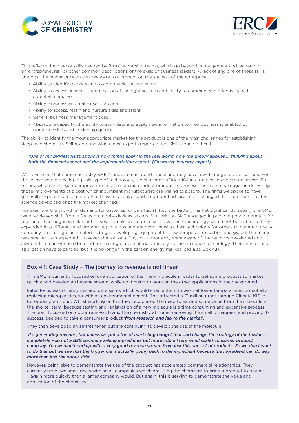



This reflects the diverse skills needed by firms' leadership teams, which go beyond 'management and leadership' or 'entrepreneurial' or other common descriptions of the skills of business leaders. A lack of any one of these skills amongst the leader or team can, we were told, impact on the success of the enterprise:

- Ability to identify markets and to commercialise innovation
- Ability to access finance identification of the right sources and ability to communicate effectively with potential financiers
- Ability to access and make use of advice
- Ability to access, retain and nurture skills and talent
- General business management skills
- Absorptive capacity; the ability to assimilate and apply new information to their business is enabled by workforce skills and leadership quality.

The ability to identify the most appropriate market for the product is one of the main challenges for establishing deep tech chemistry SMEs, and one which most experts reported that SMEs found difficult:

#### 'One of my biggest frustrations is how things apply in the real world, how the theory applies ... thinking about *both the financial aspect and the implementation aspect' (Chemistry industry expert)*

We have seen that some chemistry SMEs' innovation is foundational and may have a wide range of applications. For those involved in developing this type of technology, the challenge of identifying a market may be more severe. For others, which are targeted improvements of a specific product or industry process, there are challenges in delivering those improvements at a cost which incumbent manufacturers are willing to absorb. The firms we spoke to have generally experienced some or all of these challenges and a number had 'pivoted' – changed their direction - as the science developed or as the market changed.

For example, the growth in demand for batteries for cars has shifted the battery market significantly, seeing one SME we interviewed shift from a focus on mobile devices to cars. Similarly, an SME engaged in providing nano materials for photonics had begun in solar, but as solar panels are so price sensitive, their technology would not be viable, so they expanded into different and broader applications and are now licensing their technology for others to manufacture. A company producing black materials began developing equipment for low-temperature carbon energy, but the market was smaller than expected. However, the National Physical Laboratory were aware of the reactors developed and asked if the reactor could be used for making black materials, initially, for use in space technology. Their market and application have expanded, but it is no longer in the carbon energy market (see also Box 4.1).

#### Box 4.1: Case Study – The journey to revenue is not linear

This SME is currently focused on one application of their new molecule in order to get some products to market quickly and develop an income stream, while continuing to work on the other applications in the background.

Initial focus was on enzymes and detergents which would enable them to wash at lower temperatures, potentially replacing microplastics, so with an environmental benefit. This attracted a £1 million grant through Climate KIC, a European grant fund. Whilst working on this they recognised the need to extract some value from the molecule in the shorter term, because testing and registration of a new molecule is a time consuming and expensive process. The team focussed on odour removal, trying the chemistry at home, removing the smell of nappies, and proving its success, decided to take a consumer product '*from research and lab to the market*'.

They then developed an air freshener, but are continuing to develop the use of the molecule:

*'It's generating revenue, but unless we put a ton of marketing budget to it and change the strategy of the business completely – so not a B2B company selling ingredients but more into a [very small scale] consumer product company. You wouldn't end up with a very good revenue stream from just this one set of products. So we don't want to do that but we see that the bigger pie is actually going back to the ingredient because the ingredient can do way more than just the odour side'.*

However, being able to demonstrate the use of the product has accelerated commercial relationships. They currently have two small deals with small companies which are using the chemistry to bring a product to market – again more quickly than a larger company would. But again, this is serving to demonstrate the value and application of the chemistry.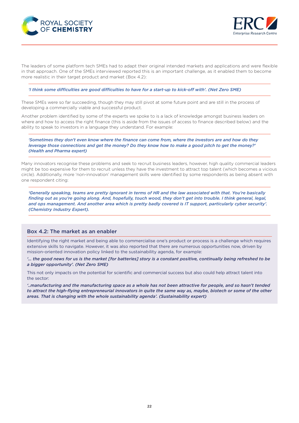



The leaders of some platform tech SMEs had to adapt their original intended markets and applications and were flexible in that approach. One of the SMEs interviewed reported this is an important challenge, as it enabled them to become more realistic in their target product and market (Box 4.2):

*'I think some difficulties are good difficulties to have for a start-up to kick-off with'. (Net Zero SME)*

These SMEs were so far succeeding, though they may still pivot at some future point and are still in the process of developing a commercially viable and successful product.

Another problem identified by some of the experts we spoke to is a lack of knowledge amongst business leaders on where and how to access the right finance (this is aside from the issues of access to finance described below) and the ability to speak to investors in a language they understand. For example:

*'Sometimes they don't even know where the finance can come from, where the investors are and how do they leverage those connections and get the money? Do they know how to make a good pitch to get the money?' (Health and Pharma expert)*

Many innovators recognise these problems and seek to recruit business leaders, however, high quality commercial leaders might be too expensive for them to recruit unless they have the investment to attract top talent (which becomes a vicious circle). Additionally, more 'non-innovation' management skills were identified by some respondents as being absent with one respondent citing:

*'Generally speaking, teams are pretty ignorant in terms of HR and the law associated with that. You're basically finding out as you're going along. And, hopefully, touch wood, they don't get into trouble. I think general, legal,*  and ops management. And another area which is pretty badly covered is IT support, particularly cyber security'. *(Chemistry Industry Expert).* 

#### Box 4.2: The market as an enabler

Identifying the right market and being able to commercialise one's product or process is a challenge which requires extensive skills to navigate. However, it was also reported that there are numerous opportunities now, driven by mission-oriented innovation policy linked to the sustainability agenda, for example:

*'… the good news for us is the market [for batteries] story is a constant positive, continually being refreshed to be a bigger opportunity'. (Net Zero SME)* 

This not only impacts on the potential for scientific and commercial success but also could help attract talent into the sector:

*'..manufacturing and the manufacturing space as a whole has not been attractive for people, and so hasn't tended to attract the high-flying entrepreneurial innovators in quite the same way as, maybe, biotech or some of the other areas. That is changing with the whole sustainability agenda'. (Sustainability expert)*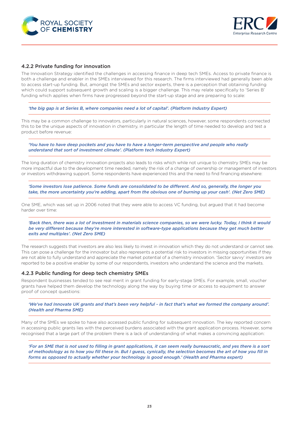<span id="page-22-0"></span>



#### 4.2.2 Private funding for innovation

The Innovation Strategy identified the challenges in accessing finance in deep tech SMEs. Access to private finance is both a challenge and enabler in the SMEs interviewed for this research. The firms interviewed had generally been able to access start-up funding. But, amongst the SMEs and sector experts, there is a perception that obtaining funding which could support subsequent growth and scaling is a bigger challenge. This may relate specifically to 'Series B' funding which applies when firms have progressed beyond the start-up stage and are preparing to scale:

*'the big gap is at Series B, where companies need a lot of capital'. (Platform Industry Expert)*

This may be a common challenge to innovators, particularly in natural sciences, however, some respondents connected this to be the unique aspects of innovation in chemistry, in particular the length of time needed to develop and test a product before revenue:

*'You have to have deep pockets and you have to have a longer-term perspective and people who really understand that sort of investment climate'. (Platform tech Industry Expert)*

The long duration of chemistry innovation projects also leads to risks which while not unique to chemistry SMEs may be more impactful due to the development time needed, namely the risk of a change of ownership or management of investors or investors withdrawing support. Some respondents have experienced this and the need to find financing elsewhere:

*'Some investors lose patience. Some funds are consolidated to be different. And so, generally, the longer you take, the more uncertainty you're adding, apart from the obvious one of burning up your cash'. (Net Zero SME)*

One SME, which was set up in 2006 noted that they were able to access VC funding, but argued that it had become harder over time:

'Back then, there was a lot of investment in materials science companies, so we were lucky. Today, I think it would *be very different because they're more interested in software-type applications because they get much better exits and multiples'. (Net Zero SME)*

The research suggests that investors are also less likely to invest in innovation which they do not understand or cannot see. This can pose a challenge for the innovator but also represents a potential risk to investors in missing opportunities if they are not able to fully understand and appreciate the market potential of a chemistry innovation. 'Sector savvy' investors are reported to be a positive enabler by some of our respondents, investors who understand the science and the markets.

#### 4.2.3 Public funding for deep tech chemistry SMEs

Respondent businesses tended to see real merit in grant funding for early-stage SMEs. For example, small, voucher grants have helped them develop the technology along the way by buying time or access to equipment to answer proof of concept questions:

'We've had Innovate UK grants and that's been very helpful - in fact that's what we formed the company around'. *(Health and Pharma SME)*

Many of the SMEs we spoke to have also accessed public funding for subsequent innovation. The key reported concern in accessing public grants lies with the perceived burdens associated with the grant application process. However, some recognised that a large part of the problem there is a lack of understanding of what makes a convincing application:

*'For an SME that is not used to filling in grant applications, it can seem really bureaucratic, and yes there is a sort of methodology as to how you fill these in. But I guess, cynically, the selection becomes the art of how you fill in forms as opposed to actually whether your technology is good enough.' (Health and Pharma expert)*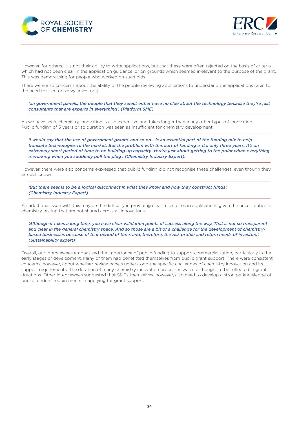



However, for others, it is not their ability to write applications, but that these were often rejected on the basis of criteria which had not been clear in the application guidance, or on grounds which seemed irrelevant to the purpose of the grant. This was demoralising for people who worked on such bids.

There were also concerns about the ability of the people reviewing applications to understand the applications (akin to the need for 'sector savvy' investors):

*'on government panels, the people that they select either have no clue about the technology because they're just consultants that are experts in everything'. (Platform SME)*

As we have seen, chemistry innovation is also expensive and takes longer than many other types of innovation. Public funding of 3 years or so duration was seen as insufficient for chemistry development.

*'I would say that the use of government grants, and so on - is an essential part of the funding mix to help translate technologies to the market. But the problem with this sort of funding is it's only three years. It's an extremely short period of time to be building up capacity. You're just about getting to the point when everything is working when you suddenly pull the plug'. (Chemistry Industry Expert).* 

However, there were also concerns expressed that public funding did not recognise these challenges, even though they are well known:

*'But there seems to be a logical disconnect in what they know and how they construct funds'. (Chemistry Industry Expert).*

An additional issue with this may be the difficulty in providing clear milestones in applications given the uncertainties in chemistry testing that are not shared across all innovations:

*'Although it takes a long time, you have clear validation points of success along the way. That is not so transparent and clear in the general chemistry space. And so those are a bit of a challenge for the development of chemistrybased businesses because of that period of time, and, therefore, the risk profile and return needs of investors'. (Sustainability expert)*

Overall, our interviewees emphasised the importance of public funding to support commercialisation, particularly in the early stages of development. Many of them had benefitted themselves from public grant support. There were consistent concerns, however, about whether review panels understood the specific challenges of chemistry innovation and its support requirements. The duration of many chemistry innovation processes was not thought to be reflected in grant durations. Other interviewees suggested that SMEs themselves, however, also need to develop a stronger knowledge of public funders' requirements in applying for grant support.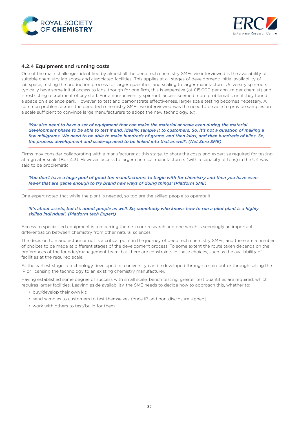<span id="page-24-0"></span>



#### 4.2.4 Equipment and running costs

One of the main challenges identified by almost all the deep tech chemistry SMEs we interviewed is the availability of suitable chemistry lab space and associated facilities. This applies at all stages of development: initial availability of lab space; testing the production process for larger quantities; and scaling to larger manufacture. University spin-outs typically have some initial access to labs, though for one firm, this is expensive (at £15,000 per annum per chemist) and is restricting recruitment of key staff. For a non-university spin-out, access seemed more problematic until they found a space on a science park. However, to test and demonstrate effectiveness, larger scale testing becomes necessary. A common problem across the deep tech chemistry SMEs we interviewed was the need to be able to provide samples on a scale sufficient to convince large manufacturers to adopt the new technology, e.g.:

*'You also need to have a set of equipment that can make the material at scale even during the material development phase to be able to test it and, ideally, sample it to customers. So, it's not a question of making a few milligrams. We need to be able to make hundreds of grams, and then kilos, and then hundreds of kilos. So, the process development and scale-up need to be linked into that as well'. (Net Zero SME)*

Firms may consider collaborating with a manufacturer at this stage, to share the costs and expertise required for testing at a greater scale (Box 4.3). However, access to larger chemical manufacturers (with a capacity of tons) in the UK was said to be problematic:

*'You don't have a huge pool of good ton manufacturers to begin with for chemistry and then you have even fewer that are game enough to try brand new ways of doing things' (Platform SME)*

One expert noted that while the plant is needed, so too are the skilled people to operate it:

*'It's about assets, but it's about people as well. So, somebody who knows how to run a pilot plant is a highly skilled individual'. (Platform tech Expert)*

Access to specialised equipment is a recurring theme in our research and one which is seemingly an important differentiation between chemistry from other natural sciences.

The decision to manufacture or not is a critical point in the journey of deep tech chemistry SMEs, and there are a number of choices to be made at different stages of the development process. To some extent the route taken depends on the preferences of the founder/management team, but there are constraints in these choices, such as the availability of facilities at the required scale.

At the earliest stage, a technology developed in a university can be developed through a spin-out or through selling the IP or licensing the technology to an existing chemistry manufacturer.

Having established some degree of success with small scale, bench testing, greater test quantities are required, which requires larger facilities. Leaving aside availability, the SME needs to decide how to approach this, whether to:

- buy/develop their own kit;
- send samples to customers to test themselves (once IP and non-disclosure signed)
- work with others to test/build for them.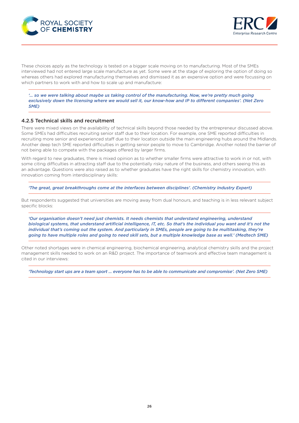<span id="page-25-0"></span>



These choices apply as the technology is tested on a bigger scale moving on to manufacturing. Most of the SMEs interviewed had not entered large scale manufacture as yet. Some were at the stage of exploring the option of doing so whereas others had explored manufacturing themselves and dismissed it as an expensive option and were focussing on which partners to work with and how to scale up and manufacture:

*'… so we were talking about maybe us taking control of the manufacturing. Now, we're pretty much going exclusively down the licensing where we would sell it, our know-how and IP to different companies'. (Net Zero SME)*

#### 4.2.5 Technical skills and recruitment

There were mixed views on the availability of technical skills beyond those needed by the entrepreneur discussed above. Some SMEs had difficulties recruiting senior staff due to their location. For example, one SME reported difficulties in recruiting more senior and experienced staff due to their location outside the main engineering hubs around the Midlands. Another deep tech SME reported difficulties in getting senior people to move to Cambridge. Another noted the barrier of not being able to compete with the packages offered by larger firms.

With regard to new graduates, there is mixed opinion as to whether smaller firms were attractive to work in or not, with some citing difficulties in attracting staff due to the potentially risky nature of the business, and others seeing this as an advantage. Questions were also raised as to whether graduates have the right skills for chemistry innovation, with innovation coming from interdisciplinary skills:

*'The great, great breakthroughs come at the interfaces between disciplines'. (Chemistry Industry Expert)* 

But respondents suggested that universities are moving away from dual honours, and teaching is in less relevant subject specific blocks:

*'Our organisation doesn't need just chemists. It needs chemists that understand engineering, understand biological systems, that understand artificial intelligence, IT, etc. So that's the individual you want and it's not the*  individual that's coming out the system. And particularly in SMEs, people are going to be multitasking, they're *going to have multiple roles and going to need skill sets, but a multiple knowledge base as well.' (Medtech SME)*

Other noted shortages were in chemical engineering, biochemical engineering, analytical chemistry skills and the project management skills needed to work on an R&D project. The importance of teamwork and effective team management is cited in our interviews:

*'Technology start ups are a team sport … everyone has to be able to communicate and compromise'. (Net Zero SME)*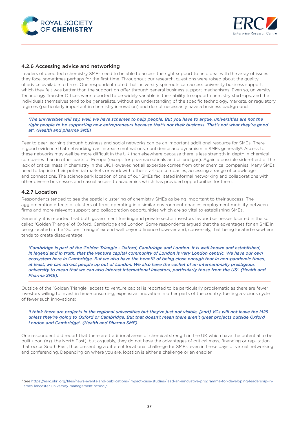<span id="page-26-0"></span>



#### 4.2.6 Accessing advice and networking

Leaders of deep tech chemistry SMEs need to be able to access the right support to help deal with the array of issues they face, sometimes perhaps for the first time. Throughout our research, questions were raised about the quality of advice available to firms. One respondent noted that university spin-outs can access university business support, which they felt was better than the support on offer through general business support mechanisms. Even so, university Technology Transfer Offices were reported to be widely variable in their ability to support chemistry start-ups, and the individuals themselves tend to be generalists, without an understanding of the specific technology, markets, or regulatory regimes (particularly important in chemistry innovation) and do not necessarily have a business background:

*'The universities will say, well, we have schemes to help people. But you have to argue, universities are not the right people to be supporting new entrepreneurs because that's not their business. That's not what they're good at'. (Health and pharma SME)*

Peer to peer learning through business and social networks can be an important additional resource for SMEs. There is good evidence that networking can increase motivations, confidence and dynamism in SMEs generally<sup>5</sup>. Access to these networks may well be more difficult in the UK than elsewhere because there is less strength in depth in chemical companies than in other parts of Europe (except for pharmaceuticals and oil and gas). Again a possible side-effect of the lack of critical mass in chemistry in the UK. However, not all expertise comes from other chemical companies. Many SMEs need to tap into their potential markets or work with other start-up companies, accessing a range of knowledge and connections. The science park location of one of our SMEs facilitated informal networking and collaborations with other diverse businesses and casual access to academics which has provided opportunities for them.

#### 4.2.7 Location

Respondents tended to see the spatial clustering of chemistry SMEs as being important to their success. The agglomeration effects of clusters of firms operating in a similar environment enables employment mobility between firms and more relevant support and collaboration opportunities which are so vital to establishing SMEs.

Generally, it is reported that both government funding and private sector investors favour businesses located in the so called 'Golden Triangle' of Oxford, Cambridge and London. Some respondents argued that the advantages for an SME in being located in the 'Golden Triangle' extend well beyond finance however and, conversely, that being located elsewhere tends to create disadvantage:

*'Cambridge is part of the Golden Triangle - Oxford, Cambridge and London. It is well known and established,*  in legend and in truth, that the venture capital community of London is very London centric. We have our own *ecosystem here in Cambridge. But we also have the benefit of being close enough that in non-pandemic times, at least, we can attract people up out of London. We also have the cachet of an internationally prestigious university to mean that we can also interest international investors, particularly those from the US'. (Health and Pharma SME).*

Outside of the 'Golden Triangle', access to venture capital is reported to be particularly problematic as there are fewer investors willing to invest in time-consuming, expensive innovation in other parts of the country, fuelling a vicious cycle of fewer such innovations:

*'I think there are projects in the regional universities but they're just not visible, [and] VCs will not leave the M25 unless they're going to Oxford or Cambridge. But that doesn't mean there aren't great projects outside Oxford London and Cambridge'. (Health and Pharma SME).* 

One respondent did report that there are traditional areas of chemical strength in the UK which have the potential to be built upon (e.g. the North East), but arguably, they do not have the advantages of critical mass, financing or reputation that occur South East, thus presenting a different locational challenge for SMEs, even in these days of virtual networking and conferencing. Depending on where you are, location is either a challenge or an enabler.

<sup>5</sup> See [https://esrc.ukri.org/files/news-events-and-publications/impact-case-studies/lead-an-innovative-programme-for-developing-leadership-in](https://esrc.ukri.org/files/news-events-and-publications/impact-case-studies/lead-an-innovative-programme-for-developing-leadership-in-smes-lancaster-university-management-school/)[smes-lancaster-university-management-school/.](https://esrc.ukri.org/files/news-events-and-publications/impact-case-studies/lead-an-innovative-programme-for-developing-leadership-in-smes-lancaster-university-management-school/)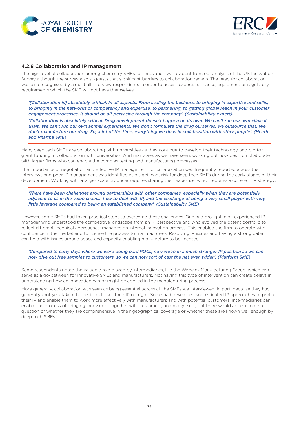<span id="page-27-0"></span>



#### 4.2.8 Collaboration and IP management

The high level of collaboration among chemistry SMEs for innovation was evident from our analysis of the UK Innovation Survey although the survey also suggests that significant barriers to collaboration remain. The need for collaboration was also recognised by almost all interview respondents in order to access expertise, finance, equipment or regulatory requirements which the SME will not have themselves:

*'[Collaboration is] absolutely critical. In all aspects. From scaling the business, to bringing in expertise and skills,*  to bringing in the networks of competency and expertise, to partnering, to getting global reach in your customer *engagement processes. It should be all-pervasive through the company'. (Sustainability expert).*

'Collaboration is absolutely critical. Drug development doesn't happen on its own. We can't run our own clinical *trials. We can't run our own animal experiments. We don't formulate the drug ourselves; we outsource that. We don't manufacture our drug. So, a lot of the time, everything we do is in collaboration with other people'. (Heath and Pharma SME)*

Many deep tech SMEs are collaborating with universities as they continue to develop their technology and bid for grant funding in collaboration with universities. And many are, as we have seen, working out how best to collaborate with larger firms who can enable the complex testing and manufacturing processes.

The importance of negotiation and effective IP management for collaboration was frequently reported across the interviews and poor IP management was identified as a significant risk for deep tech SMEs during the early stages of their development. Working with a larger scale producer requires sharing their expertise, which requires a coherent IP strategy:

*'There have been challenges around partnerships with other companies, especially when they are potentially*  adjacent to us in the value chain.... how to deal with IP, and the challenge of being a very small player with very *little leverage compared to being an established company'. (Sustainability SME)*

However, some SMEs had taken practical steps to overcome these challenges. One had brought in an experienced IP manager who understood the competitive landscape from an IP perspective and who evolved the patent portfolio to reflect different technical approaches; managed an internal innovation process. This enabled the firm to operate with confidence in the market and to license the process to manufacturers. Resolving IP issues and having a strong patent can help with issues around space and capacity enabling manufacture to be licensed.

*'Compared to early days where we were doing paid POCs, now we're in a much stronger IP position so we can now give out free samples to customers, so we can now sort of cast the net even wider'. (Platform SME)*

Some respondents noted the valuable role played by intermediaries, like the Warwick Manufacturing Group, which can serve as a go-between for innovative SMEs and manufacturers. Not having this type of intervention can create delays in understanding how an innovation can or might be applied in the manufacturing process.

More generally, collaboration was seen as being essential across all the SMEs we interviewed, in part, because they had generally (not yet) taken the decision to sell their IP outright. Some had developed sophisticated IP approaches to protect their IP and enable them to work more effectively with manufacturers and with potential customers. Intermediaries can enable the process of bringing innovators together with customers, and many exist, but there would appear to be a question of whether they are comprehensive in their geographical coverage or whether these are known well enough by deep tech SMEs.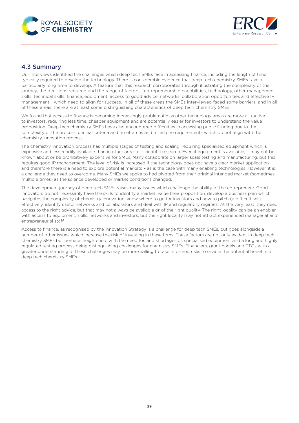<span id="page-28-0"></span>



### 4.3 Summary

Our interviews identified the challenges which deep tech SMEs face in accessing finance, including the length of time typically required to develop the technology. There is considerable evidence that deep tech chemistry SMEs take a particularly long time to develop. A feature that this research corroborates through illustrating the complexity of their journey, the decisions required and the range of factors - entrepreneurship capabilities, technology, other management skills, technical skills, finance, equipment, access to good advice, networks, collaboration opportunities and effective IP management - which need to align for success. In all of these areas the SMEs interviewed faced some barriers, and in all of these areas, there are at least some distinguishing characteristics of deep tech chemistry SMEs.

We found that access to finance is becoming increasingly problematic as other technology areas are more attractive to investors, requiring less time, cheaper equipment and are potentially easier for investors to understand the value proposition. Deep tech chemistry SMEs have also encountered difficulties in accessing public funding due to the complexity of the process, unclear criteria and timeframes and milestone requirements which do not align with the chemistry innovation process.

The chemistry innovation process has multiple stages of testing and scaling, requiring specialised equipment which is expensive and less readily available than in other areas of scientific research. Even if equipment is available, it may not be known about or be prohibitively expensive for SMEs. Many collaborate on larger scale testing and manufacturing, but this requires good IP management. The level of risk is increased if the technology does not have a clear market application and therefore there is a need to explore potential markets – as is the case with many enabling technologies. However, it is a challenge they need to overcome. Many SMEs we spoke to had pivoted from their original intended market (sometimes multiple times) as the science developed or market conditions changed.

The development journey of deep tech SMEs raises many issues which challenge the ability of the entrepreneur. Good innovators do not necessarily have the skills to identify a market, value their proposition, develop a business plan which navigates the complexity of chemistry innovation, know where to go for investors and how to pitch (a difficult sell) effectively, identify useful networks and collaborators and deal with IP and regulatory regimes. At the very least, they need access to the right advice, but that may not always be available or of the right quality. The right locality can be an enabler with access to equipment, skills, networks and investors, but the right locality may not attract experienced managerial and entrepreneurial staff.

Access to finance, as recognised by the Innovation Strategy is a challenge for deep tech SMEs, but goes alongside a number of other issues which increase the risk of investing in these firms. These factors are not only evident in deep tech chemistry SMEs but perhaps heightened, with the need for, and shortages of, specialised equipment and a long and highly regulated testing process being distinguishing challenges for chemistry SMEs. Financiers, grant panels and TTOs with a greater understanding of these challenges may be more willing to take informed risks to enable the potential benefits of deep tech chemistry SMEs.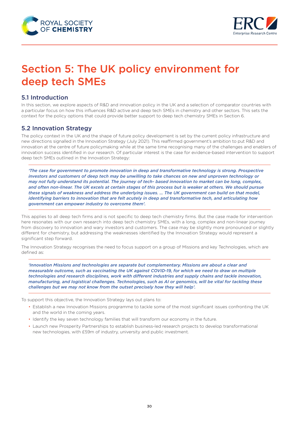<span id="page-29-0"></span>



## Section 5: The UK policy environment for deep tech SMEs

## 5.1 Introduction

In this section, we explore aspects of R&D and innovation policy in the UK and a selection of comparator countries with a particular focus on how this influences R&D active and deep tech SMEs in chemistry and other sectors. This sets the context for the policy options that could provide better support to deep tech chemistry SMEs in Section 6.

### 5.2 Innovation Strategy

The policy context in the UK and the shape of future policy development is set by the current policy infrastructure and new directions signalled in the Innovation Strategy (July 2021). This reaffirmed government's ambition to put R&D and innovation at the centre of future policymaking while at the same time recognising many of the challenges and enablers of innovation success identified in our research. Of particular interest is the case for evidence-based intervention to support deep tech SMEs outlined in the Innovation Strategy:

*'The case for government to promote innovation in deep and transformative technology is strong. Prospective investors and customers of deep tech may be unwilling to take chances on new and unproven technology or may not fully understand its potential. The journey of tech- based innovation to market can be long, complex,*  and often non-linear. The UK excels at certain stages of this process but is weaker at others. We should pursue *these signals of weakness and address the underlying issues. … The UK government can build on that model, identifying barriers to innovation that are felt acutely in deep and transformative tech, and articulating how government can empower industry to overcome them'.*

This applies to all deep tech firms and is not specific to deep tech chemistry firms. But the case made for intervention here resonates with our own research into deep tech chemistry SMEs, with a long, complex and non-linear journey from discovery to innovation and wary investors and customers. The case may be slightly more pronounced or slightly different for chemistry, but addressing the weaknesses identified by the Innovation Strategy would represent a significant step forward.

The Innovation Strategy recognises the need to focus support on a group of Missions and key Technologies, which are defined as:

*'Innovation Missions and technologies are separate but complementary. Missions are about a clear and measurable outcome, such as vaccinating the UK against COVID-19, for which we need to draw on multiple technologies and research disciplines, work with different industries and supply chains and tackle innovation, manufacturing, and logistical challenges. Technologies, such as AI or genomics, will be vital for tackling these challenges but we may not know from the outset precisely how they will help'.*

To support this objective, the Innovation Strategy lays out plans to:

- Establish a new Innovation Missions programme to tackle some of the most significant issues confronting the UK and the world in the coming years.
- Identify the key seven technology families that will transform our economy in the future.
- Launch new Prosperity Partnerships to establish business-led research projects to develop transformational new technologies, with £59m of industry, university and public investment.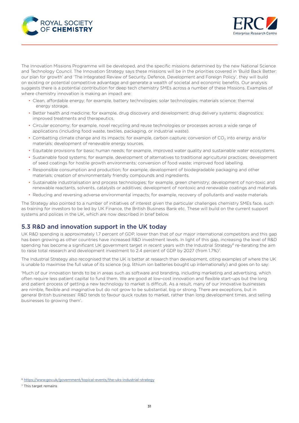<span id="page-30-0"></span>



The Innovation Missions Programme will be developed, and the specific missions determined by the new National Science and Technology Council. The Innovation Strategy says these missions will be in the priorities covered in 'Build Back Better: our plan for growth' and 'The Integrated Review of Security, Defence, Development and Foreign Policy', they will build on existing or potential competitive advantage and generate a wealth of societal and economic benefits. Our analysis suggests there is a potential contribution for deep tech chemistry SMEs across a number of these Missions. Examples of where chemistry innovation is making an impact are:

- Clean, affordable energy; for example, battery technologies; solar technologies; materials science; thermal energy storage.
- Better health and medicine; for example, drug discovery and development; drug delivery systems; diagnostics; improved treatments and therapeutics.
- Circular economy; for example, novel recycling and reuse technologies or processes across a wide range of applications (including food waste, textiles, packaging, or industrial waste).
- Combatting climate change and its impacts; for example, carbon capture; conversion of CO<sub>2</sub> into energy and/or materials; development of renewable energy sources.
- Equitable provisions for basic human needs; for example, improved water quality and sustainable water ecosystems.
- Sustainable food systems; for example, development of alternatives to traditional agricultural practices; development of seed coatings for hostile growth environments; conversion of food waste; improved food labelling.
- Responsible consumption and production; for example, development of biodegradable packaging and other materials; creation of environmentally friendly compounds and ingredients.
- Sustainable industrialisation and process technologies; for example, green chemistry; development of non-toxic and renewable reactants, solvents, catalysts or additives; development of nontoxic and renewable coatings and materials.
- Reducing and reversing adverse environmental impacts; for example, recovery of pollutants and waste materials.

The Strategy also pointed to a number of initiatives of interest given the particular challenges chemistry SMEs face, such as training for investors to be led by UK Finance, the British Business Bank etc. These will build on the current support systems and polices in the UK, which are now described in brief below.

#### 5.3 R&D and innovation support in the UK today

UK R&D spending is approximately 1.7 percent of GDP, lower than that of our major international competitors and this gap has been growing as other countries have increased R&D investment levels. In light of this gap, increasing the level of R&D spending has become a significant UK government target in recent years with the Industrial Strategy<sup>6</sup> re-iterating the aim to raise total research and development investment to 2.4 percent of GDP by 2027 (from 1.7%)<sup>7</sup>.

The Industrial Strategy also recognised that the UK is better at research than development, citing examples of where the UK is unable to maximise the full value of its science (e.g. lithium ion batteries bought up internationally) and goes on to say:

'Much of our innovation tends to be in areas such as software and branding, including marketing and advertising, which often require less patient capital to fund them. We are good at low-cost innovation and flexible start-ups but the long and patient process of getting a new technology to market is difficult. As a result, many of our innovative businesses are nimble, flexible and imaginative but do not grow to be substantial, big or strong. There are exceptions, but in general British businesses' R&D tends to favour quick routes to market, rather than long development times, and selling businesses to growing them'.

<sup>6</sup> <https://www.gov.uk/government/topical-events/the-uks-industrial-strategy>

<sup>7</sup> This target remains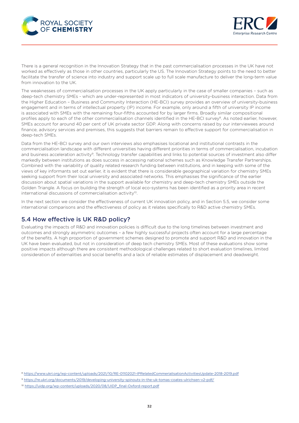<span id="page-31-0"></span>



There is a general recognition in the Innovation Strategy that in the past commercialisation processes in the UK have not worked as effectively as those in other countries, particularly the US. The Innovation Strategy points to the need to better facilitate the transfer of science into industry and support scale up to full scale manufacture to deliver the long-term value from innovation to the UK.

The weaknesses of commercialisation processes in the UK apply particularly in the case of smaller companies – such as deep-tech chemistry SMEs - which are under-represented in most indicators of university-business interaction. Data from the Higher Education – Business and Community Interaction (HE-BCI) survey provides an overview of university-business engagement and in terms of intellectual property (IP) income. For example, only around a fifth of university IP income is associated with SMEs with the remaining four-fifths accounted for by larger firms. Broadly similar compositional profiles apply to each of the other commercialisation channels identified in the HE-BCI survey<sup>8</sup>. As noted earlier, however, SMEs account for around 40 per cent of UK private sector GDP. Along with concerns raised by our interviewees around finance, advisory services and premises, this suggests that barriers remain to effective support for commercialisation in deep-tech SMEs.

Data from the HE-BCI survey and our own interviews also emphasises locational and institutional contrasts in the commercialisation landscape with different universities having different priorities in terms of commercialisation, incubation and business acceleration activity<sup>9</sup>. Technology transfer capabilities and links to potential sources of investment also differ markedly between institutions as does success in accessing national schemes such as Knowledge Transfer Partnerships. Combined with the variability of quality related research funding between institutions, and in keeping with some of the views of key informants set out earlier, it is evident that there is considerable geographical variation for chemistry SMEs seeking support from their local university and associated networks. This emphasises the significance of the earlier discussion about spatial variations in the support available for chemistry and deep-tech chemistry SMEs outside the Golden Triangle. A focus on building the strength of local eco-systems has been identified as a priority area in recent international discussions of commercialisation activity<sup>10</sup>.

In the next section we consider the effectiveness of current UK innovation policy, and in Section 5.5, we consider some international comparisons and the effectiveness of policy as it relates specifically to R&D active chemistry SMEs.

### 5.4 How effective is UK R&D policy?

Evaluating the impacts of R&D and innovation policies is difficult due to the long timelines between investment and outcomes and strongly asymmetric outcomes – a few highly successful projects often account for a large percentage of the benefits. A high proportion of government schemes designed to promote and support R&D and innovation in the UK have been evaluated, but not in consideration of deep tech chemistry SMEs. Most of these evaluations show some positive impacts although there are consistent methodological challenges related to short evaluation timelines, limited consideration of externalities and social benefits and a lack of reliable estimates of displacement and deadweight.

<sup>8</sup> <https://www.ukri.org/wp-content/uploads/2021/10/RE-01102021-IPRelatedCommerialisationActivitiesUpdate-2018-2019.pdf>

<sup>9</sup> <https://re.ukri.org/documents/2019/developing-university-spinouts-in-the-uk-tomas-coates-ulrichsen-v2-pdf/>

<sup>10</sup> [https://uidp.org/wp-content/uploads/2020/08/UIDP\\_final-Oxford-report.pdf](https://uidp.org/wp-content/uploads/2020/08/UIDP_final-Oxford-report.pdf)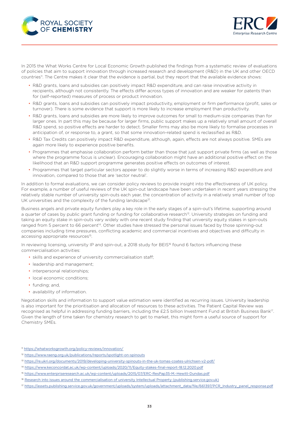



In 2015 the What Works Centre for Local Economic Growth published the findings from a systematic review of evaluations of policies that aim to support innovation through increased research and development (R&D) in the UK and other OECD countries<sup>11</sup>. The Centre makes it clear that the evidence is partial, but they report that the available evidence shows:

- R&D grants, loans and subsidies can positively impact R&D expenditure, and can raise innovative activity in recipients, although not consistently. The effects differ across types of innovation and are weaker for patents than for (self-reported) measures of process or product innovation.
- R&D grants, loans and subsidies can positively impact productivity, employment or firm performance (profit, sales or turnover). There is some evidence that support is more likely to increase employment than productivity.
- R&D grants, loans and subsidies are more likely to improve outcomes for small to medium-size companies than for larger ones. In part this may be because for larger firms, public support makes up a relatively small amount of overall R&D spend, so positive effects are harder to detect. Smaller firms may also be more likely to formalise processes in anticipation of, or response to, a grant, so that some innovation-related spend is reclassified as R&D.
- R&D Tax Credits can positively impact R&D expenditure, although, again, effects are not always positive. SMEs are again more likely to experience positive benefits.
- Programmes that emphasise collaboration perform better than those that just support private firms (as well as those where the programme focus is unclear). Encouraging collaboration might have an additional positive effect on the likelihood that an R&D support programme generates positive effects on outcomes of interest.
- Programmes that target particular sectors appear to do slightly worse in terms of increasing R&D expenditure and innovation, compared to those that are 'sector neutral'.

In addition to formal evaluations, we can consider policy reviews to provide insight into the effectiveness of UK policy. For example, a number of useful reviews of the UK spin-out landscape have been undertaken in recent years stressing the relatively stable number of university spin-outs each year, the concentration of activity in a relatively small number of top UK universities and the complexity of the funding landscape<sup>12</sup>.

Business angels and private equity funders play a key role in the early stages of a spin-out's lifetime, supporting around a quarter of cases by public grant funding or funding for collaborative research<sup>13</sup>. University strategies on funding and taking an equity stake in spin-outs vary widely with one recent study finding that university equity stakes in spin-outs ranged from 5 percent to 66 percent<sup>14</sup>. Other studies have stressed the personal issues faced by those spinning-out companies including time pressures, conflicting academic and commercial incentives and objectives and difficulty in accessing appropriate resources<sup>15</sup>.

In reviewing licensing, university IP and spin-out, a 2018 study for BEIS<sup>16</sup> found 6 factors influencing these commercialisation activities:

- skills and experience of university commercialisation staff;
- leadership and management;
- interpersonal relationships;
- local economic conditions:
- funding; and,
- availability of information.

Negotiation skills and information to support value estimation were identified as recurring issues. University leadership is also important for the prioritisation and allocation of resources to these activities. The Patient Capital Review was recognised as helpful in addressing funding barriers, including the £2.5 billion Investment Fund at British Business Bank<sup>17</sup>. Given the length of time taken for chemistry research to get to market, this might form a useful source of support for Chemistry SMEs.

<sup>11</sup> <https://whatworksgrowth.org/policy-reviews/innovation/>

<sup>12</sup> <https://www.raeng.org.uk/publications/reports/spotlight-on-spinouts>

<sup>13</sup> <https://re.ukri.org/documents/2019/developing-university-spinouts-in-the-uk-tomas-coates-ulrichsen-v2-pdf/>

<sup>14</sup> <https://www.keconcordat.ac.uk/wp-content/uploads/2020/11/Equity-stakes-final-report-18.12.2020.pdf>

<sup>15</sup> <https://www.enterpriseresearch.ac.uk/wp-content/uploads/2015/07/ERC-ResPap35-M.-Hewitt-Dundas.pdf>

<sup>&</sup>lt;sup>16</sup> [Research into issues around the commercialisation of university Intellectual Property \(publishing.service.gov.uk\)](http://university-ip-commercialisation-research.pdf)

<sup>17</sup> [https://assets.publishing.service.gov.uk/government/uploads/system/uploads/attachment\\_data/file/661397/PCR\\_Industry\\_panel\\_response.pdf](https://assets.publishing.service.gov.uk/government/uploads/system/uploads/attachment_data/file/661397/PCR_Industry_panel_response.pdf)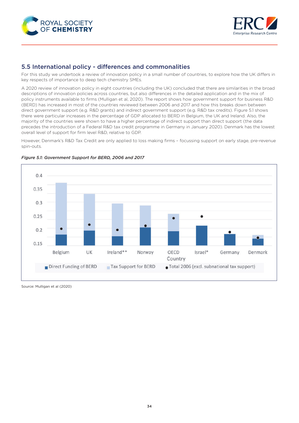<span id="page-33-0"></span>



#### 5.5 International policy - differences and commonalities

For this study we undertook a review of innovation policy in a small number of countries, to explore how the UK differs in key respects of importance to deep tech chemistry SMEs.

A 2020 review of innovation policy in eight countries (including the UK) concluded that there are similarities in the broad descriptions of innovation policies across countries, but also differences in the detailed application and in the mix of policy instruments available to firms (Mulligan et al, 2020). The report shows how government support for business R&D (BERD) has increased in most of the countries reviewed between 2006 and 2017 and how this breaks down between direct government support (e.g. R&D grants) and indirect government support (e.g. R&D tax credits). Figure 5.1 shows there were particular increases in the percentage of GDP allocated to BERD in Belgium, the UK and Ireland. Also, the majority of the countries were shown to have a higher percentage of indirect support than direct support (the data precedes the introduction of a Federal R&D tax credit programme in Germany in January 2020). Denmark has the lowest overall level of support for firm level R&D, relative to GDP.

However, Denmark's R&D Tax Credit are only applied to loss making firms – focussing support on early stage, pre-revenue spin-outs.



#### *Figure 5.1: Government Support for BERD, 2006 and 2017*

Source: Mulligan et al (2020)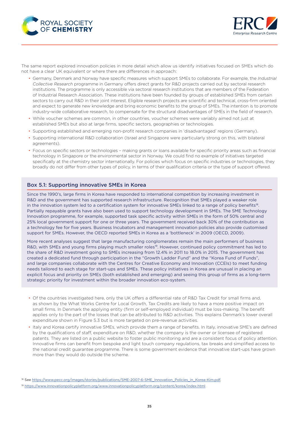



The same report explored innovation policies in more detail which allow us identify initiatives focused on SMEs which do not have a clear UK equivalent or where there are differences in approach:

- Germany, Denmark and Norway have specific measures which support SMEs to collaborate. For example, the *Industrial Collective Research* programme in Germany offers direct grants for R&D projects carried out by sectoral research institutions. The programme is only accessible via sectoral research institutions that are members of the Federation of Industrial Research Association. These institutions have been founded by groups of established SMEs from certain sectors to carry out R&D in their joint interest. Eligible research projects are scientific and technical, cross-firm oriented and expect to generate new knowledge and bring economic benefits to the group of SMEs. The intention is to promote industry-wide collaborative research, to compensate for the structural disadvantages of SMEs in the field of research.
- While voucher schemes are common, in other countries, voucher schemes were variably aimed not just at established SMEs but also at large firms, specific sectors, geographies or technologies.
- Supporting established and emerging non-profit research companies in 'disadvantaged' regions (Germany).
- Supporting international R&D collaboration (Israel and Singapore were particularly strong on this, with bilateral agreements).
- Focus on specific sectors or technologies making grants or loans available for specific priority areas such as financial technology in Singapore or the environmental sector in Norway. We could find no example of initiatives targeted specifically at the chemistry sector internationally. For policies which focus on specific industries or technologies, they broadly do not differ from other types of policy, in terms of their qualification criteria or the type of support offered.

#### Box 5.1: Supporting innovative SMEs in Korea

Since the 1990's, large firms in Korea have responded to international competition by increasing investment in R&D and the government has supported research infrastructure. Recognition that SMEs played a weaker role in the innovation system led to a certification system for innovative SMEs linked to a range of policy benefits<sup>18</sup>. Partially repayable grants have also been used to support technology development in SMEs. The SME Technology Innovation programme, for example, supported task specific activity within SMEs in the form of 50% central and 25% local government support for one or three years. The government received back 30% of the contribution as a technology fee for five years. Business Incubators and management innovation policies also provide customised support for SMEs. However, the OECD reported SMEs in Korea as a 'bottleneck' in 2009 (OECD, 2009).

More recent analyses suggest that large manufacturing conglomerates remain the main performers of business R&D, with SMEs and young firms playing much smaller roles<sup>19</sup>. However, continued policy commitment has led to the share of R&D investment going to SMEs increasing from 12.4% in 2011 to 18.0% in 2015. The government has created a dedicated fund through participation in the "Growth Ladder Fund" and the "Korea Fund of Funds", and large companies collaborate with the Centres for Creative Economy and Innovation (CCEIs) to meet funding needs tailored to each stage for start-ups and SMEs. These policy initiatives in Korea are unusual in placing an explicit focus and priority on SMEs (both established and emerging) and seeing this group of firms as a long-term strategic priority for investment within the broader innovation eco-system.

- Of the countries investigated here, only the UK offers a differential rate of R&D Tax Credit for small firms and, as shown by the What Works Centre for Local Growth, Tax Credits are likely to have a more positive impact on small firms. In Denmark the applying entity (firm or self-employed individual) must be loss-making. The benefit applies only to the part of the losses that can be attributed to R&D activities. This explains Denmark's lower overall expenditure shown in Figure 5.3 but is more targeted on pre-revenue activities.
- Italy and Korea certify innovative SMEs, which provide them a range of benefits. In Italy, innovative SME's are defined by the qualifications of staff, expenditure on R&D, whether the company is the owner or licensee of registered patents. They are listed on a public website to foster public monitoring and are a consistent focus of policy attention. Innovative firms can benefit from bespoke and light touch company regulations, tax breaks and simplified access to the national credit guarantee programme. There is some government evidence that innovative start-ups have grown more than they would do outside the scheme.

<sup>18</sup> See [https://www.pecc.org/images/stories/publications/SME-2007-6-SME\\_Innovation\\_Policies\\_in\\_Korea-Kim.pdf.](https://www.pecc.org/images/stories/publications/SME-2007-6-SME_Innovation_Policies_in_Korea-Kim.pdf)

<sup>19</sup> <https://www.innovationpolicyplatform.org/www.innovationpolicyplatform.org/content/korea/index.html>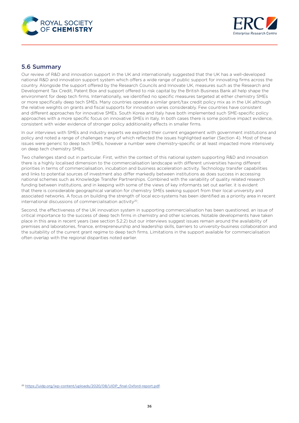<span id="page-35-0"></span>



#### 5.6 Summary

Our review of R&D and innovation support in the UK and internationally suggested that the UK has a well-developed national R&D and innovation support system which offers a wide range of public support for innovating firms across the country. Alongside the support offered by the Research Councils and Innovate UK, measures such as the Research and Development Tax Credit, Patent Box and support offered to risk capital by the British Business Bank all help shape the environment for deep tech firms. Internationally, we identified no specific measures targeted at either chemistry SMEs or more specifically deep tech SMEs. Many countries operate a similar grant/tax credit policy mix as in the UK although the relative weights on grants and fiscal supports for innovation varies considerably. Few countries have consistent and different approaches for innovative SMEs. South Korea and Italy have both implemented such SME-specific policy approaches with a more specific focus on innovative SMEs in Italy. In both cases there is some positive impact evidence, consistent with wider evidence of stronger policy additionality effects in smaller firms.

In our interviews with SMEs and industry experts we explored their current engagement with government institutions and policy and noted a range of challenges many of which reflected the issues highlighted earlier (Section 4). Most of these issues were generic to deep tech SMEs, however a number were chemistry-specific or at least impacted more intensively on deep tech chemistry SMEs.

Two challenges stand out in particular. First, within the context of this national system supporting R&D and innovation there is a highly localised dimension to the commercialisation landscape with different universities having different priorities in terms of commercialisation, incubation and business acceleration activity. Technology transfer capabilities and links to potential sources of investment also differ markedly between institutions as does success in accessing national schemes such as Knowledge Transfer Partnerships. Combined with the variability of quality related research funding between institutions, and in keeping with some of the views of key informants set out earlier, it is evident that there is considerable geographical variation for chemistry SMEs seeking support from their local university and associated networks. A focus on building the strength of local eco-systems has been identified as a priority area in recent international discussions of commercialisation activity20.

Second, the effectiveness of the UK innovation system in supporting commercialisation has been questioned, an issue of critical importance to the success of deep tech firms in chemistry and other sciences. Notable developments have taken place in this area in recent years (see section 5.2.2) but our interviews suggest issues remain around the availability of premises and laboratories, finance, entrepreneurship and leadership skills, barriers to university-business collaboration and the suitability of the current grant regime to deep tech firms. Limitations in the support available for commercialisation often overlap with the regional disparities noted earlier.

<sup>20</sup> [https://uidp.org/wp-content/uploads/2020/08/UIDP\\_final-Oxford-report.pdf.](https://uidp.org/wp-content/uploads/2020/08/UIDP_final-Oxford-report.pdf)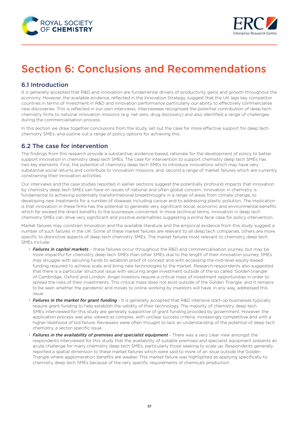<span id="page-36-0"></span>



## Section 6: Conclusions and Recommendations

## 6.1 Introduction

It is generally accepted that R&D and innovation are fundamental drivers of productivity gains and growth throughout the economy. However, the available evidence, reflected in the Innovation Strategy, suggest that the UK lags key competitor countries in terms of investment in R&D and innovation performance particularly our ability to effectively commercialise new discoveries. This is reflected in our own interviews. Interviewees recognised the potential contribution of deep tech chemistry firms to national innovation missions (e.g. net zero, drug discovery) and also identified a range of challenges during the commercialisation process.

In this section we draw together conclusions from the study, set out the case for more effective support for deep tech chemistry SMEs, and outline out a range of policy options for achieving this.

#### 6.2 The case for intervention

The findings from this research provide a substantive, evidence-based, rationale for the development of policy to better support innovation in chemistry deep tech SMEs. The case for intervention to support chemistry deep tech SMEs has two key elements. First, the potential of chemistry deep tech SMEs to introduce innovations which may have very substantial social returns and contribute to innovation missions; and, second a range of market failures which are currently constraining their innovation activities.

Our interviews and the case studies reported in earlier sections suggest the potentially profound impacts that innovation by chemistry deep tech SMEs can have on issues of national and often global concern. Innovation in chemistry is fundamental to achieving potentially transformational breakthroughs in a range of areas from climate change, to developing new treatments for a number of diseases including cancer and to addressing plastic pollution. The implication is that innovation in these firms has the potential to generate very significant social, economic and environmental benefits which far exceed the direct benefits to the businesses concerned. In more technical terms, innovation in deep tech chemistry SMEs can drive very significant and positive externalities suggesting a *prima facie* case for policy intervention.

Market failures may constrain innovation and the available literature and the empirical evidence from this study suggest a number of such failures in the UK. Some of these market failures are relevant to all deep tech companies, others are more specific to distinctive aspects of deep tech chemistry SMEs. The market failures most relevant to chemistry deep tech SMEs include:

- *Failures in capital markets* these failures occur throughout the R&D and commercialisation journey, but may be more impactful for chemistry deep tech SMEs than other SMEs due to the length of their innovation journey. SMEs may struggle with securing funds to establish proof of concept and with accessing the mid-level equity-based funding required to achieve scale and bring new technologies to the market. Research respondents also suggested that there is a particular structural issue with securing angel investment outside of the so called 'Golden triangle' of Cambridge, Oxford and London. Angel investors require a critical mass of investment opportunities in order to spread the risks of their investments. This critical mass does not exist outside of the Golden Triangle. and it remains to be seen whether the pandemic and moves to online working by investors will have, in any way, addressed this issue.
- *Failures in the market for grant funding* It is generally accepted that R&D intensive start-up businesses typically require grant funding to help establish the validity of their technology. The majority of chemistry deep tech SMEs interviewed for this study are generally supportive of grant funding provided by government. However, the application process was also viewed as complex, with unclear success criteria, increasingly competitive and with a higher likelihood of bid failure. Reviewers were often thought to lack an understanding of the potential of deep tech chemistry, a sector-specific issue.
- *Failures in the availability of premises and specialist equipment* There was a very clear view amongst the respondents interviewed for this study that the availability of suitable premises and specialist equipment presents an acute challenge for many chemistry deep tech SMEs, particularly those seeking to scale up. Respondents generally reported a spatial dimension to these market failures which were said to more of an issue outside the Golden Triangle where agglomeration benefits are weaker. This market failure was highlighted as applying specifically to chemistry deep tech SMEs because of the very specific requirements of chemicals production.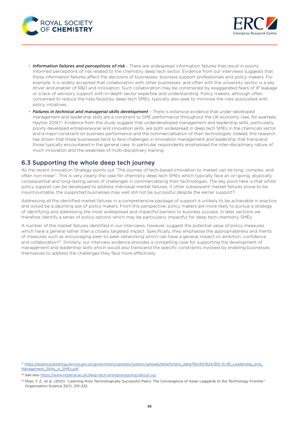<span id="page-37-0"></span>



- *Information failures and perceptions of risk* There are widespread information failures that result in poorly informed perceptions of risk related to the chemistry deep tech sector. Evidence from our interviews suggests that these information failures affect the decisions of businesses, business support professionals and policy makers. For example, it is widely accepted that collaboration with other businesses, and often with the university sector, is a key driver and enabler of R&D and innovation. Such collaboration may be constrained by exaggerated fears of IP leakage or a lack of advisory support with in-depth sector expertise and understanding. Policy makers, although often concerned to reduce the risks faced by deep tech SMEs, typically also seek to minimise the risks associated with policy initiatives.
- *Failures in technical and managerial skills development* There is extensive evidence that under-developed management and leadership skills are a constraint to SME performance throughout the UK economy (see, for example, Hayton 2014)<sup>21</sup>. Evidence from this study suggest that underdeveloped management and leadership skills, particularly poorly developed entrepreneurial and innovation skills, are both widespread in deep tech SMEs in the chemicals sector and a major constraint on business performance and the commercialisation of their technologies. Indeed, this research has shown that these businesses tend to face challenges in innovation management and leadership that transcend those typically encountered in the general case. In particular, respondents emphasised the inter-disciplinary nature of much innovation and the weakness of multi-disciplinary training.

### 6.3 Supporting the whole deep tech journey

As the recent Innovation Strategy points out "The journey of tech-based innovation to market can be long, complex, and often non-linear". This is very clearly the case for chemistry deep tech SMEs which typically face an on-going, atypically consequential and long-lasting series of challenges in commercialising their technologies. The key point here is that whilst policy support can be developed to address individual market failures, if other subsequent market failures prove to be insurmountable, the supported businesses may well still not be successful despite the earlier support<sup>22</sup>.

Addressing all the identified market failures in a comprehensive package of support is unlikely to be achievable in practice and would be a daunting ask of policy makers. From this perspective, policy makers are more likely to pursue a strategy of identifying and addressing the most widespread and impactful barriers to business success. In later sections we therefore identify a series of policy options which may be particularly impactful for deep tech chemistry SMEs.

A number of the market failures identified in our interviews, however, suggest the potential value of policy measures which have a general rather than a closely targeted impact. Specifically, they emphasise the appropriateness and merits of measures such as encouraging peer-to-peer networking which can have a general impact on ambition, confidence and collaboration<sup>23</sup>. Similarly, our interview evidence provides a compelling case for supporting the development of management and leadership skills which would also transcend the specific constraints involved by enabling businesses themselves to address the challenges they face more effectively.

<sup>21</sup> [https://assets.publishing.service.gov.uk/government/uploads/system/uploads/attachment\\_data/file/407624/BIS-15-95\\_Leadership\\_and\\_](https://assets.publishing.service.gov.uk/government/uploads/system/uploads/attachment_data/file/407624/BIS-15-95_Leadership_and_Management_Skills_in_SMEs.pdf) [Management\\_Skills\\_in\\_SMEs.pdf](https://assets.publishing.service.gov.uk/government/uploads/system/uploads/attachment_data/file/407624/BIS-15-95_Leadership_and_Management_Skills_in_SMEs.pdf)

<sup>&</sup>lt;sup>22</sup> See also [https://www.imperial.ac.uk/deep-tech-entrepreneurship/about-us/.](https://www.imperial.ac.uk/deep-tech-entrepreneurship/about-us/)

<sup>&</sup>lt;sup>23</sup> Miao, Y. Z., et al. (2021). "Learning from Technologically Successful Peers: The Convergence of Asian Laggards to the Technology Frontier." Organization Science 32(1): 210-232.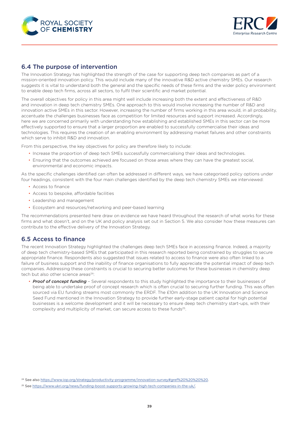<span id="page-38-0"></span>



### 6.4 The purpose of intervention

The Innovation Strategy has highlighted the strength of the case for supporting deep tech companies as part of a mission-oriented innovation policy. This would include many of the innovative R&D active chemistry SMEs. Our research suggests it is vital to understand both the general and the specific needs of these firms and the wider policy environment to enable deep tech firms, across all sectors, to fulfil their scientific and market potential.

The overall objectives for policy in this area might well include increasing both the extent and effectiveness of R&D and innovation in deep tech chemistry SMEs. One approach to this would involve increasing the number of R&D and innovation active SMEs in this sector. However, increasing the number of firms working in this area would, in all probability, accentuate the challenges businesses face as competition for limited resources and support increased. Accordingly, here we are concerned primarily with understanding how establishing and established SMEs in this sector can be more effectively supported to ensure that a larger proportion are enabled to successfully commercialise their ideas and technologies. This requires the creation of an enabling environment by addressing market failures and other constraints which serve to inhibit R&D and innovation.

From this perspective, the key objectives for policy are therefore likely to include:

- Increase the proportion of deep tech SMEs successfully commercialising their ideas and technologies.
- Ensuring that the outcomes achieved are focused on those areas where they can have the greatest social, environmental and economic impacts.

As the specific challenges identified can often be addressed in different ways, we have categorised policy options under four headings, consistent with the four main challenges identified by the deep tech chemistry SMEs we interviewed:

- Access to finance
- Access to bespoke, affordable facilities
- Leadership and management
- Ecosystem and resources/networking and peer-based learning

The recommendations presented here draw on evidence we have heard throughout the research of what works for these firms and what doesn't, and on the UK and policy analysis set out in Section 5. We also consider how these measures can contribute to the effective delivery of the Innovation Strategy.

### 6.5 Access to finance

The recent Innovation Strategy highlighted the challenges deep tech SMEs face in accessing finance. Indeed, a majority of deep tech chemistry-based SMEs that participated in this research reported being constrained by struggles to secure appropriate finance. Respondents also suggested that issues related to access to finance were also often linked to a failure of business support and the inability of finance organisations to fully appreciate the potential impact of deep tech companies. Addressing these constraints is crucial to securing better outcomes for these businesses in chemistry deep tech but also other science areas<sup>24</sup>:

• *Proof of concept funding* – Several respondents to this study highlighted the importance to their businesses of being able to undertake proof of concept research which is often crucial to securing further funding. This was often sourced via EU funding streams most commonly the ERDF. The £10m addition to the UK Innovation and Science Seed Fund mentioned in the Innovation Strategy to provide further early-stage patient capital for high potential businesses is a welcome development and it will be necessary to ensure deep tech chemistry start-ups, with their complexity and multiplicity of market, can secure access to these funds<sup>25</sup>.

<sup>&</sup>lt;sup>24</sup> See also <https://www.iop.org/strategy/productivity-programme/innovation-survey#gref%20%20%20%20>.

<sup>25</sup> See [https://www.ukri.org/news/funding-boost-supports-growing-high-tech-companies-in-the-uk/.](https://www.ukri.org/news/funding-boost-supports-growing-high-tech-companies-in-the-uk/)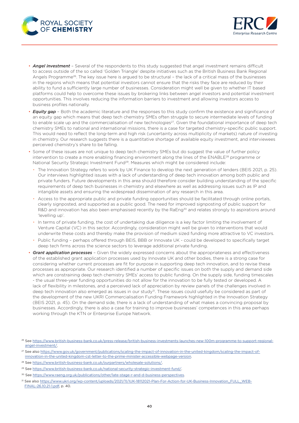



- *Angel investment* Several of the respondents to this study suggested that angel investment remains difficult to access outside of the so called 'Golden Triangle' despite initiatives such as the British Business Bank Regional Angels Programme<sup>26</sup>. The key issue here is argued to be structural - the lack of a critical mass of the businesses in the regions which means that potential investors cannot ensure that the risks they face are reduced by their ability to fund a sufficiently large number of businesses. Consideration might well be given to whether IT based platforms could help to overcome these issues by brokering links between angel investors and potential investment opportunities. This involves reducing the information barriers to investment and allowing investors access to business profiles nationally.
- *Equity gap* Both the academic literature and the responses to this study confirm the existence and significance of an equity gap which means that deep tech chemistry SMEs often struggle to secure intermediate levels of funding to enable scale up and the commercialisation of new technologies<sup>27</sup>. Given the foundational importance of deep tech chemistry SMEs to national and international missions, there is a case for targeted chemistry-specific public support. This would need to reflect the long-term and high risk (uncertainty across multiplicity of markets) nature of investing in chemistry. Our research suggests there is a quantitative shortage of available equity investment, and interviewees perceived chemistry's share to be falling.
- Some of these issues are not unique to deep tech chemistry SMEs but do suggest the value of further policy intervention to create a more enabling financing environment along the lines of the ENABLE<sup>28</sup> programme or National Security Strategic Investment Fund<sup>29</sup>. Measures which might be considered include:
	- The Innovation Strategy refers to work by UK Finance to develop the next generation of lenders (BEIS 2021, p. 25). Our interviews highlighted issues with a lack of understanding of deep tech innovation among both public and private funders. Future developments in this area should therefore consider building understanding of the specific requirements of deep tech businesses in chemistry and elsewhere as well as addressing issues such as IP and intangible assets and ensuring the widespread dissemination of any research in this area.
	- Access to the appropriate public and private funding opportunities should be facilitated through online portals, clearly signposted, and supported as a public good. The need for improved signposting of public support for R&D and innovation has also been emphasised recently by the RaEng<sup>30</sup> and relates strongly to aspirations around 'levelling up'.
	- In terms of private funding, the cost of undertaking due diligence is a key factor limiting the involvement of Venture Capital (VC) in this sector. Accordingly, consideration might well be given to interventions that would underwrite these costs and thereby make the provision of medium sized funding more attractive to VC investors.
	- Public funding perhaps offered through BEIS, BBB or Innovate UK could be developed to specifically target deep tech firms across the science sectors to leverage additional private funding.
- *Grant application processes* Given the widely expressed concerns about the appropriateness and effectiveness of the established grant application processes used by Innovate UK and other bodies, there is a strong case for considering whether current processes are fit for purpose in supporting deep tech innovation, and to revise these processes as appropriate. Our research identified a number of specific issues on both the supply and demand side which are constraining deep tech chemistry SMEs' access to public funding. On the supply side, funding timescales - the usual three-year funding opportunities do not allow for the innovation to be fully tested or developed. A lack of flexibility in milestones, and a perceived lack of appreciation by review panels of the challenges involved in deep tech innovation also emerged as issues in our study<sup>31</sup>. These issues could usefully be considered as part of the development of the new UKRI Commercialisation Funding Framework highlighted in the Innovation Strategy (BEIS 2021, p. 45). On the demand side, there is a lack of understanding of what makes a convincing proposal by businesses. Accordingly, there is also a case for training to improve businesses' competences in this area perhaps working through the KTN or Enterprise Europe Network.

- <sup>27</sup> See also [https://www.gov.uk/government/publications/scaling-the-impact-of-innovation-in-the-united-kingdom/scaling-the-impact-of](https://www.gov.uk/government/publications/scaling-the-impact-of-innovation-in-the-united-kingdom/scaling-the-impact-of-innovation-in-the-united-kingdom-cst-letter-to-the-prime-minister-accessible-webpage-version)[innovation-in-the-united-kingdom-cst-letter-to-the-prime-minister-accessible-webpage-version.](https://www.gov.uk/government/publications/scaling-the-impact-of-innovation-in-the-united-kingdom/scaling-the-impact-of-innovation-in-the-united-kingdom-cst-letter-to-the-prime-minister-accessible-webpage-version)
- 28 See <https://www.british-business-bank.co.uk/ourpartners/wholesale-solutions/>.
- <sup>29</sup> See <https://www.british-business-bank.co.uk/national-security-strategic-investment-fund/>.
- 30 See [https://www.raeng.org.uk/publications/other/late-stage-r-and-d-business-perspectives.](https://www.raeng.org.uk/publications/other/late-stage-r-and-d-business-perspectives)
- 31 See also [https://www.ukri.org/wp-content/uploads/2021/11/IUK-18112021-Plan-For-Action-for-UK-Business-Innovation\\_FULL\\_WEB-](https://www.ukri.org/wp-content/uploads/2021/11/IUK-18112021-Plan-For-Action-for-UK-Business-Innovation_FULL_WEB-FINAL-26.10.21-1.pdf)[FINAL-26.10.21-1.pdf,](https://www.ukri.org/wp-content/uploads/2021/11/IUK-18112021-Plan-For-Action-for-UK-Business-Innovation_FULL_WEB-FINAL-26.10.21-1.pdf) p. 40.

<sup>26</sup> See [https://www.british-business-bank.co.uk/press-release/british-business-investments-launches-new-100m-programme-to-support-regional](https://www.british-business-bank.co.uk/press-release/british-business-investments-launches-new-100m-programme-to-support-regional-angel-investment/)[angel-investment/.](https://www.british-business-bank.co.uk/press-release/british-business-investments-launches-new-100m-programme-to-support-regional-angel-investment/)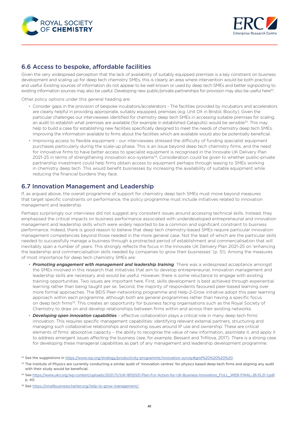<span id="page-40-0"></span>



## 6.6 Access to bespoke, affordable facilities

Given the very widespread perception that the lack of availability of suitably equipped premises is a key constraint on business development and scaling up for deep tech chemistry SMEs, this is clearly an area where intervention would be both practical and useful. Existing sources of information do not appear to be well known or used by deep tech SMEs and better signposting to existing information sources may also be useful. Developing new public/private partnerships for provision may also be useful here<sup>32</sup>.

Other policy options under this general heading are:

- Consider gaps in the provision of bespoke incubators/accelerators The facilities provided by incubators and accelerators are clearly helpful in providing appropriate, suitably equipped, premises (e.g. Unit DX in Bristol, Biocity). Given the particular challenges our interviewees identified for chemistry deep tech SMEs in accessing suitable premises for scaling, an audit to establish what premises are available (for example in established Catapults) would be sensible<sup>33</sup>. This may help to build a case for establishing new facilities specifically designed to meet the needs of chemistry deep tech SMEs. Improving the information available to firms about the facilities which are available would also be potentially beneficial.
- Improving access to flexible equipment our interviewees stressed the difficulty of funding specialist equipment purchases particularly during the scale-up phase. This is an issue beyond deep tech chemistry firms, and the need for innovative firms to have better access to specialist equipment is recognised in the Innovate UK Delivery Plan 2021-25 in terms of strengthening innovation eco-systems<sup>34</sup>. Consideration could be given to whether public-private partnership investment could help firms obtain access to equipment perhaps through leasing to SMEs working in chemistry deep tech. This would benefit businesses by increasing the availability of suitable equipment while reducing the financial burdens they face.

#### 6.7 Innovation Management and Leadership

If, as argued above, the overall programme of support for chemistry deep tech SMEs must move beyond measures that target specific constraints on performance, the policy programme must include initiatives related to innovation management and leadership.

Perhaps surprisingly our interviews did not suggest any consistent issues around accessing technical skills. Instead, they emphasised the critical impacts on business performance associated with underdeveloped entrepreneurial and innovation management and leadership skills which were widely reported to be a common and significant constraint to business performance. Indeed, there is good reason to believe that deep tech chemistry-based SMEs require particular innovation management competencies beyond those needed in the more general case. Not the least of which are the particular skills needed to successfully manage a business through a protracted period of establishment and commercialisation that will inevitably span a number of years. This strongly reflects the focus in the Innovate UK Delivery Plan 2021-25 on 'enhancing the leadership and commercialisation skills needed by companies to grow their businesses' (p. 51). Among the measures of most importance for deep tech chemistry SMEs are:

- *Promoting engagement with management and leadership training*. There was a widespread acceptance amongst the SMEs involved in this research that initiatives that aim to develop entrepreneurial, innovation management and leadership skills are necessary and would be useful. However, there is some reluctance to engage with existing training opportunities. Two issues are important here. First, skills development is best achieved through experiential learning rather than being taught per se. Second, the majority of respondents favoured peer-based learning over more formal approaches. The BEIS Peer-networking programme and Help-2-Grow initiative adopt this peer learning approach within each programme, although both are general programmes rather than having a specific focus on deep tech firms<sup>35</sup>. This creates an opportunity for business facing organisations such as the Royal Society of Chemistry to draw on and develop relationships between firms within and across their existing networks.
- *Developing open innovation capabilities* effective collaboration plays a critical role in many deep tech firms' innovation. This requires specific management capabilities: identifying relevant external partners, structuring and managing such collaborative relationships and resolving issues around IP use and ownership. These are critical elements of firms' absorptive capacity – the ability to recognise the value of new information, assimilate it, and apply it to address emergent issues affecting the business (see, for example, Bessant and Trifilova, 2017). There is a strong case for developing these managerial capabilities as part of any management and leadership development programme.

<sup>32</sup> See the suggestions in https://www.iop.org/strategy/productivity-programme/innovation-survey#gref%20%20%20.

<sup>&</sup>lt;sup>33</sup> The Institute of Physics are currently conducting a similar audit of 'innovation centres' for physics based deep-tech firms and aligning any audit with their study would be beneficial.

<sup>34</sup> See [https://www.ukri.org/wp-content/uploads/2021/11/IUK-18112021-Plan-For-Action-for-UK-Business-Innovation\\_FULL\\_WEB-FINAL-26.10.21-1.pdf](https://www.ukri.org/wp-content/uploads/2021/11/IUK-18112021-Plan-For-Action-for-UK-Business-Innovation_FULL_WEB-FINAL-26.10.21-1.pdf), p. 40.

<sup>35</sup> See <https://smallbusinesscharter.org/help-to-grow-management/>.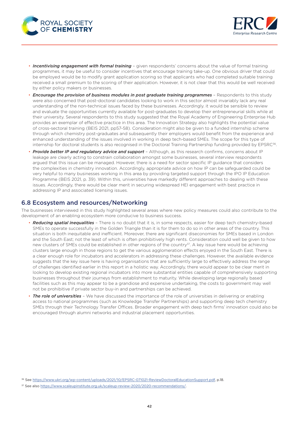<span id="page-41-0"></span>



- *Incentivising engagement with formal training* given respondents' concerns about the value of formal training programmes, it may be useful to consider incentives that encourage training take-up. One obvious driver that could be employed would be to modify grant application scoring so that applicants who had completed suitable training received a small premium to the scoring of their application. However, it is not clear that this would be well received by either policy makers or businesses.
- *Encourage the provision of business modules in post graduate training programmes* Respondents to this study were also concerned that post-doctoral candidates looking to work in this sector almost invariably lack any real understanding of the non-technical issues faced by these businesses. Accordingly. it would be sensible to review and evaluate the opportunities currently available for post-graduates to develop their entrepreneurial skills while at their university. Several respondents to this study suggested that the Royal Academy of Engineering Enterprise Hub provides an exemplar of effective practice in this area. The Innovation Strategy also highlights the potential value of cross-sectoral training (BEIS 2021, pp57-58). Consideration might also be given to a funded internship scheme through which chemistry post-graduates and subsequently their employers would benefit from the experience and enhanced understanding of the issues involved in working in deep tech-based SMEs. The scope for this type of internship for doctoral students is also recognised in the Doctoral Training Partnership funding provided by EPSRC<sup>36</sup>.
- *Provide better IP and regulatory advice and support* Although, as this research confirms, concerns about IP leakage are clearly acting to constrain collaboration amongst some businesses, several interview respondents argued that this issue can be managed. However, there is a need for sector specific IP guidance that considers the complexities in chemistry innovation. Accordingly, appropriate advice on how IP can be safeguarded could be very helpful to many businesses working in this area by providing targeted support through the IPO IP Education Programme (BEIS 2021, p. 39). Within this, universities have markedly different approaches to dealing with these issues. Accordingly, there would be clear merit in securing widespread HEI engagement with best practice in addressing IP and associated licensing issues.

#### 6.8 Ecosystem and resources/Networking

The businesses interviewed in this study highlighted several areas where new policy measures could also contribute to the development of an enabling ecosystem more conducive to business success.

- *Reducing spatial inequalities* There is no doubt that it is, in some respects, easier for deep tech chemistry-based SMEs to operate successfully in the Golden Triangle than it is for them to do so in other areas of the country. This situation is both inequitable and inefficient. Moreover, there are significant diseconomies for SMEs based in London and the South East; not the least of which is often prohibitively high rents. Consideration could well be given to how new clusters of SMEs could be established in other regions of the country<sup>37</sup>. A key issue here would be achieving clusters large enough in those regions to get the various agglomeration effects enjoyed in the South East. There is a clear enough role for incubators and accelerators in addressing these challenges. However, the available evidence suggests that the key issue here is having organisations that are sufficiently large to effectively address the range of challenges identified earlier in this report in a holistic way. Accordingly, there would appear to be clear merit in looking to develop existing regional incubators into more substantial entities capable of comprehensively supporting businesses throughout their journeys from establishment to maturity. While developing large regionally based facilities such as this may appear to be a grandiose and expensive undertaking, the costs to government may well not be prohibitive if private sector buy-in and partnerships can be achieved.
- *The role of universities* We have discussed the importance of the role of universities in delivering or enabling access to national programmes (such as Knowledge Transfer Partnerships) and supporting deep tech chemistry SMEs through their Technology Transfer Offices. Broader engagement with deep tech firms' innovation could also be encouraged through alumni networks and industrial placement opportunities.

<sup>36</sup> See <https://www.ukri.org/wp-content/uploads/2021/10/EPSRC-071021-ReviewDoctoralEducationSupport.pdf>, p.18.

<sup>37</sup> See also [https://www.scaleupinstitute.org.uk/scaleup-review-2020/2020-recommendations/.](https://www.scaleupinstitute.org.uk/scaleup-review-2020/2020-recommendations/)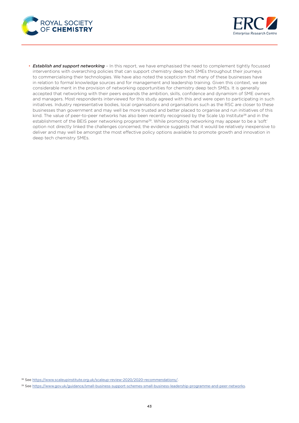



• *Establish and support networking* – In this report, we have emphasised the need to complement tightly focussed interventions with overarching policies that can support chemistry deep tech SMEs throughout their journeys to commercialising their technologies. We have also noted the scepticism that many of these businesses have in relation to formal knowledge sources and for management and leadership training. Given this context, we see considerable merit in the provision of networking opportunities for chemistry deep tech SMEs. It is generally accepted that networking with their peers expands the ambition, skills, confidence and dynamism of SME owners and managers. Most respondents interviewed for this study agreed with this and were open to participating in such initiatives. Industry representative bodies, local organisations and organisations such as the RSC are closer to these businesses than government and may well be more trusted and better placed to organise and run initiatives of this kind. The value of peer-to-peer networks has also been recently recognised by the Scale Up Institute<sup>38</sup> and in the establishment of the BEIS peer networking programme<sup>39</sup>. While promoting networking may appear to be a 'soft' option not directly linked the challenges concerned, the evidence suggests that it would be relatively inexpensive to deliver and may well be amongst the most effective policy options available to promote growth and innovation in deep tech chemistry SMEs.

<sup>38</sup> See [https://www.scaleupinstitute.org.uk/scaleup-review-2020/2020-recommendations/.](https://www.scaleupinstitute.org.uk/scaleup-review-2020/2020-recommendations/)

<sup>39</sup> See [https://www.gov.uk/guidance/small-business-support-schemes-small-business-leadership-programme-and-peer-networks.](https://www.gov.uk/guidance/small-business-support-schemes-small-business-leadership-programme-and-peer-networks)